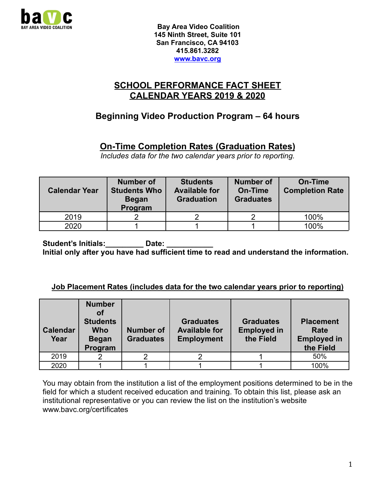

### **SCHOOL PERFORMANCE FACT SHEET CALENDAR YEARS 2019 & 2020**

# **Beginning Video Production Program – 64 hours**

## **On-Time Completion Rates (Graduation Rates)**

*Includes data for the two calendar years prior to reporting.*

| <b>Calendar Year</b> | <b>Number of</b><br><b>Students Who</b><br><b>Began</b><br>Program | <b>Students</b><br><b>Available for</b><br><b>Graduation</b> | <b>Number of</b><br>On-Time<br><b>Graduates</b> | <b>On-Time</b><br><b>Completion Rate</b> |
|----------------------|--------------------------------------------------------------------|--------------------------------------------------------------|-------------------------------------------------|------------------------------------------|
| 2019                 |                                                                    |                                                              |                                                 | 100%                                     |
| 2020                 |                                                                    |                                                              |                                                 | 100%                                     |

Student's Initials: **Date:** Date: **Initial only after you have had sufficient time to read and understand the information.**

#### **Job Placement Rates (includes data for the two calendar years prior to reporting)**

| <b>Calendar</b><br>Year | <b>Number</b><br>оf<br><b>Students</b><br><b>Who</b><br><b>Began</b><br>Program | <b>Number of</b><br><b>Graduates</b> | <b>Graduates</b><br><b>Available for</b><br><b>Employment</b> | <b>Graduates</b><br><b>Employed in</b><br>the Field | <b>Placement</b><br>Rate<br><b>Employed in</b><br>the Field |
|-------------------------|---------------------------------------------------------------------------------|--------------------------------------|---------------------------------------------------------------|-----------------------------------------------------|-------------------------------------------------------------|
| 2019                    |                                                                                 |                                      |                                                               |                                                     | 50%                                                         |
| 2020                    |                                                                                 |                                      |                                                               |                                                     | 100%                                                        |

You may obtain from the institution a list of the employment positions determined to be in the field for which a student received education and training. To obtain this list, please ask an institutional representative or you can review the list on the institution's website www.bavc.org/certificates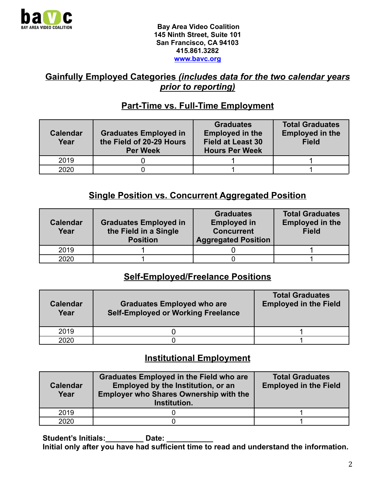

### **Gainfully Employed Categories** *(includes data for the two calendar years prior to reporting)*

## **Part-Time vs. Full-Time Employment**

| <b>Calendar</b><br>Year | <b>Graduates Employed in</b><br>the Field of 20-29 Hours<br><b>Per Week</b> | <b>Graduates</b><br><b>Employed in the</b><br><b>Field at Least 30</b><br><b>Hours Per Week</b> | <b>Total Graduates</b><br><b>Employed in the</b><br><b>Field</b> |
|-------------------------|-----------------------------------------------------------------------------|-------------------------------------------------------------------------------------------------|------------------------------------------------------------------|
| 2019                    |                                                                             |                                                                                                 |                                                                  |
| 2020                    |                                                                             |                                                                                                 |                                                                  |

## **Single Position vs. Concurrent Aggregated Position**

| <b>Calendar</b><br>Year | <b>Graduates Employed in</b><br>the Field in a Single<br><b>Position</b> | <b>Graduates</b><br><b>Employed in</b><br><b>Concurrent</b><br><b>Aggregated Position</b> | <b>Total Graduates</b><br><b>Employed in the</b><br><b>Field</b> |
|-------------------------|--------------------------------------------------------------------------|-------------------------------------------------------------------------------------------|------------------------------------------------------------------|
| 2019                    |                                                                          |                                                                                           |                                                                  |
| 2020                    |                                                                          |                                                                                           |                                                                  |

### **Self-Employed/Freelance Positions**

| <b>Calendar</b><br>Year | <b>Graduates Employed who are</b><br><b>Self-Employed or Working Freelance</b> | <b>Total Graduates</b><br><b>Employed in the Field</b> |
|-------------------------|--------------------------------------------------------------------------------|--------------------------------------------------------|
| 2019                    |                                                                                |                                                        |
| 2020                    |                                                                                |                                                        |

### **Institutional Employment**

| <b>Calendar</b><br>Year | <b>Graduates Employed in the Field who are</b><br><b>Employed by the Institution, or an</b><br><b>Employer who Shares Ownership with the</b><br>Institution. | <b>Total Graduates</b><br><b>Employed in the Field</b> |
|-------------------------|--------------------------------------------------------------------------------------------------------------------------------------------------------------|--------------------------------------------------------|
| 2019                    |                                                                                                                                                              |                                                        |
| 2020                    |                                                                                                                                                              |                                                        |

Student's Initials: **Date:** Date: **Initial only after you have had sufficient time to read and understand the information.**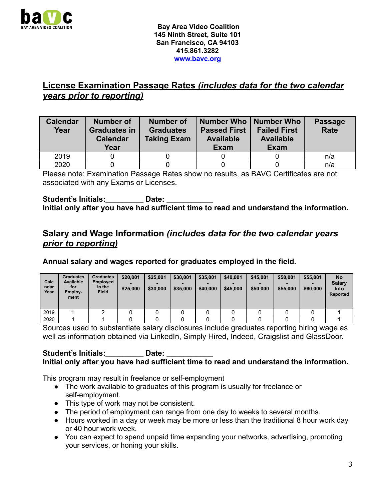

## **License Examination Passage Rates** *(includes data for the two calendar years prior to reporting)*

| <b>Calendar</b><br>Year | <b>Number of</b><br><b>Graduates in</b><br><b>Calendar</b><br>Year | <b>Number of</b><br><b>Graduates</b><br><b>Taking Exam</b> | Number Who   Number Who<br><b>Passed First</b><br><b>Available</b><br><b>Exam</b> | <b>Failed First</b><br><b>Available</b><br><b>Exam</b> | <b>Passage</b><br><b>Rate</b> |
|-------------------------|--------------------------------------------------------------------|------------------------------------------------------------|-----------------------------------------------------------------------------------|--------------------------------------------------------|-------------------------------|
| 2019                    |                                                                    |                                                            |                                                                                   |                                                        | n/a                           |
| 2020                    |                                                                    |                                                            |                                                                                   |                                                        | n/a                           |

Please note: Examination Passage Rates show no results, as BAVC Certificates are not associated with any Exams or Licenses.

Student's Initials: **Date:** Date: **Initial only after you have had sufficient time to read and understand the information.**

### **Salary and Wage Information** *(includes data for the two calendar years prior to reporting)*

**Annual salary and wages reported for graduates employed in the field.**

| Cale<br>ndar<br>Year | <b>Graduates</b><br><b>Available</b><br>for<br>Employ-<br>ment | <b>Graduates</b><br><b>Employed</b><br>in the<br><b>Field</b> | \$20,001<br>\$25,000 | \$25,001<br>\$30,000 | \$30,001<br>\$35,000 | \$35,001<br>\$40,000 | \$40,001<br>\$45,000 | \$45,001<br>\$50,000 | \$50,001<br>\$55,000 | \$55,001<br>\$60,000 | <b>No</b><br><b>Salary</b><br><b>Info</b><br><b>Reported</b> |
|----------------------|----------------------------------------------------------------|---------------------------------------------------------------|----------------------|----------------------|----------------------|----------------------|----------------------|----------------------|----------------------|----------------------|--------------------------------------------------------------|
| 2019                 |                                                                |                                                               |                      |                      |                      |                      |                      |                      |                      |                      |                                                              |
| 2020                 |                                                                |                                                               |                      |                      |                      |                      |                      |                      |                      |                      |                                                              |

Sources used to substantiate salary disclosures include graduates reporting hiring wage as well as information obtained via LinkedIn, Simply Hired, Indeed, Craigslist and GlassDoor.

#### Student's Initials: **Date:** Date: **Initial only after you have had sufficient time to read and understand the information.**

This program may result in freelance or self-employment

- The work available to graduates of this program is usually for freelance or self-employment.
- This type of work may not be consistent.
- The period of employment can range from one day to weeks to several months.
- Hours worked in a day or week may be more or less than the traditional 8 hour work day or 40 hour work week.
- You can expect to spend unpaid time expanding your networks, advertising, promoting your services, or honing your skills.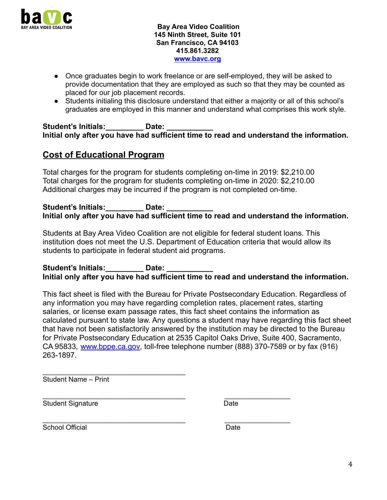

- Once graduates begin to work freelance or are self-employed, they will be asked to provide documentation that they are employed as such so that they may be counted as placed for our job placement records.
- Students initialing this disclosure understand that either a majority or all of this school's graduates are employed in this manner and understand what comprises this work style.

Student's Initials: **Date:** Date: **Initial only after you have had sufficient time to read and understand the information.**

### **Cost of Educational Program**

Total charges for the program for students completing on-time in 2019: \$2,210.00 Total charges for the program for students completing on-time in 2020: \$2,210.00 Additional charges may be incurred if the program is not completed on-time.

Student's Initials: **Date:** Date: **Initial only after you have had sufficient time to read and understand the information.**

Students at Bay Area Video Coalition are not eligible for federal student loans. This institution does not meet the U.S. Department of Education criteria that would allow its students to participate in federal student aid programs.

Student's Initials: **Date:** Date: **Initial only after you have had sufficient time to read and understand the information.**

This fact sheet is filed with the Bureau for Private Postsecondary Education. Regardless of any information you may have regarding completion rates, placement rates, starting salaries, or license exam passage rates, this fact sheet contains the information as calculated pursuant to state law. Any questions a student may have regarding this fact sheet that have not been satisfactorily answered by the institution may be directed to the Bureau for Private Postsecondary Education at 2535 Capitol Oaks Drive, Suite 400, Sacramento, CA 95833, [www.bppe.ca.gov,](http://www.bppe.ca.gov) toll-free telephone number (888) 370-7589 or by fax (916) 263-1897.

 $\overline{\phantom{a}}$  , and the set of the set of the set of the set of the set of the set of the set of the set of the set of the set of the set of the set of the set of the set of the set of the set of the set of the set of the s Student Name – Print

\_\_\_\_\_\_\_\_\_\_\_\_\_\_\_\_\_\_\_\_\_\_\_\_\_\_\_\_\_\_\_\_\_\_\_\_\_ \_\_\_\_\_\_\_\_\_\_\_\_\_\_\_\_\_ Student Signature Date

\_\_\_\_\_\_\_\_\_\_\_\_\_\_\_\_\_\_\_\_\_\_\_\_\_\_\_\_\_\_\_\_\_\_\_\_\_ \_\_\_\_\_\_\_\_\_\_\_\_\_\_\_\_\_ School Official Date Date Date Date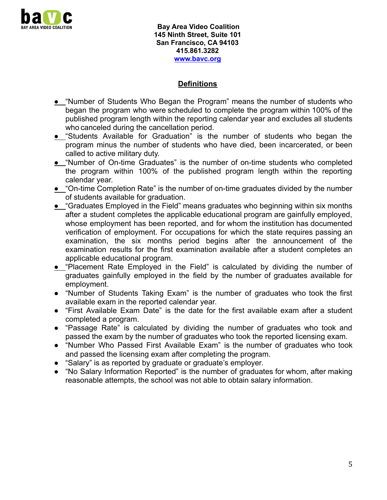

#### **Definitions**

- **●** "Number of Students Who Began the Program" means the number of students who began the program who were scheduled to complete the program within 100% of the published program length within the reporting calendar year and excludes all students who canceled during the cancellation period.
- **●** "Students Available for Graduation" is the number of students who began the program minus the number of students who have died, been incarcerated, or been called to active military duty.
- **●** "Number of On-time Graduates" is the number of on-time students who completed the program within 100% of the published program length within the reporting calendar year.
- **●** "On-time Completion Rate" is the number of on-time graduates divided by the number of students available for graduation.
- **●** "Graduates Employed in the Field" means graduates who beginning within six months after a student completes the applicable educational program are gainfully employed, whose employment has been reported, and for whom the institution has documented verification of employment. For occupations for which the state requires passing an examination, the six months period begins after the announcement of the examination results for the first examination available after a student completes an applicable educational program.
- **●** "Placement Rate Employed in the Field" is calculated by dividing the number of graduates gainfully employed in the field by the number of graduates available for employment.
- "Number of Students Taking Exam" is the number of graduates who took the first available exam in the reported calendar year.
- "First Available Exam Date" is the date for the first available exam after a student completed a program.
- "Passage Rate" is calculated by dividing the number of graduates who took and passed the exam by the number of graduates who took the reported licensing exam.
- "Number Who Passed First Available Exam" is the number of graduates who took and passed the licensing exam after completing the program.
- "Salary" is as reported by graduate or graduate's employer.
- "No Salary Information Reported" is the number of graduates for whom, after making reasonable attempts, the school was not able to obtain salary information.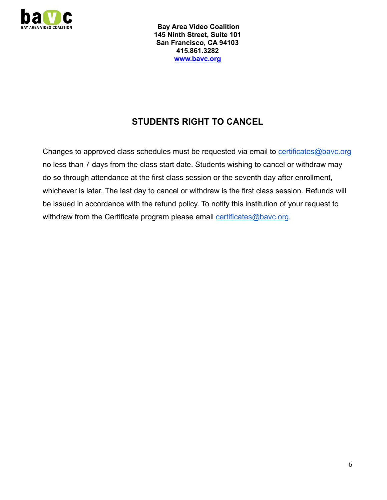

# **STUDENTS RIGHT TO CANCEL**

Changes to approved class schedules must be requested via email to [certificates@bavc.org](mailto:certificates@bavc.org) no less than 7 days from the class start date. Students wishing to cancel or withdraw may do so through attendance at the first class session or the seventh day after enrollment, whichever is later. The last day to cancel or withdraw is the first class session. Refunds will be issued in accordance with the refund policy. To notify this institution of your request to withdraw from the Certificate program please email [certificates@bavc.org](mailto:certificates@bavc.org).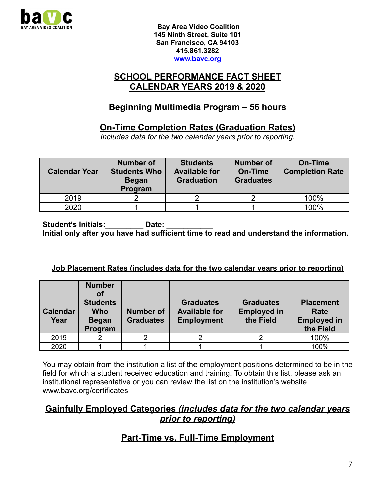

#### **SCHOOL PERFORMANCE FACT SHEET CALENDAR YEARS 2019 & 2020**

# **Beginning Multimedia Program – 56 hours**

## **On-Time Completion Rates (Graduation Rates)**

*Includes data for the two calendar years prior to reporting.*

| <b>Calendar Year</b> | <b>Number of</b><br><b>Students Who</b><br><b>Began</b><br>Program | <b>Students</b><br><b>Available for</b><br><b>Graduation</b> | <b>Number of</b><br><b>On-Time</b><br><b>Graduates</b> | <b>On-Time</b><br><b>Completion Rate</b> |
|----------------------|--------------------------------------------------------------------|--------------------------------------------------------------|--------------------------------------------------------|------------------------------------------|
| 2019                 |                                                                    |                                                              |                                                        | 100%                                     |
| 2020                 |                                                                    |                                                              |                                                        | 100%                                     |

Student's Initials: **Date:** Date: **Initial only after you have had sufficient time to read and understand the information.**

#### **Job Placement Rates (includes data for the two calendar years prior to reporting)**

| <b>Calendar</b><br>Year | <b>Number</b><br>οf<br><b>Students</b><br>Who<br><b>Began</b><br>Program | <b>Number of</b><br><b>Graduates</b> | <b>Graduates</b><br><b>Available for</b><br><b>Employment</b> | <b>Graduates</b><br><b>Employed in</b><br>the Field | <b>Placement</b><br>Rate<br><b>Employed in</b><br>the Field |
|-------------------------|--------------------------------------------------------------------------|--------------------------------------|---------------------------------------------------------------|-----------------------------------------------------|-------------------------------------------------------------|
| 2019                    |                                                                          |                                      |                                                               |                                                     | 100%                                                        |
| 2020                    |                                                                          |                                      |                                                               |                                                     | 100%                                                        |

You may obtain from the institution a list of the employment positions determined to be in the field for which a student received education and training. To obtain this list, please ask an institutional representative or you can review the list on the institution's website www.bavc.org/certificates

#### **Gainfully Employed Categories** *(includes data for the two calendar years prior to reporting)*

## **Part-Time vs. Full-Time Employment**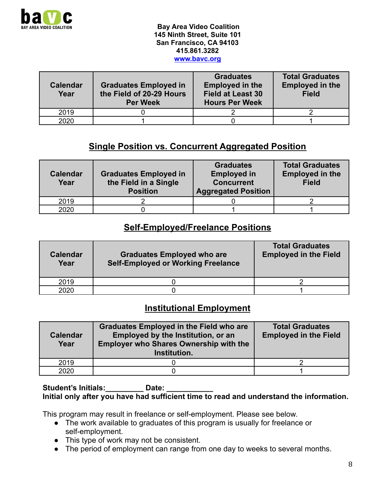

| Calendar<br>Year | <b>Graduates Employed in</b><br>the Field of 20-29 Hours<br><b>Per Week</b> | <b>Graduates</b><br><b>Employed in the</b><br><b>Field at Least 30</b><br><b>Hours Per Week</b> | <b>Total Graduates</b><br><b>Employed in the</b><br><b>Field</b> |
|------------------|-----------------------------------------------------------------------------|-------------------------------------------------------------------------------------------------|------------------------------------------------------------------|
| 2019             |                                                                             |                                                                                                 |                                                                  |
| 2020             |                                                                             |                                                                                                 |                                                                  |

## **Single Position vs. Concurrent Aggregated Position**

| <b>Calendar</b><br>Year | <b>Graduates Employed in</b><br>the Field in a Single<br><b>Position</b> | <b>Graduates</b><br><b>Employed in</b><br><b>Concurrent</b><br><b>Aggregated Position</b> | <b>Total Graduates</b><br><b>Employed in the</b><br><b>Field</b> |
|-------------------------|--------------------------------------------------------------------------|-------------------------------------------------------------------------------------------|------------------------------------------------------------------|
| 2019                    |                                                                          |                                                                                           |                                                                  |
| 2020                    |                                                                          |                                                                                           |                                                                  |

#### **Self-Employed/Freelance Positions**

| <b>Calendar</b><br>Year | <b>Graduates Employed who are</b><br><b>Self-Employed or Working Freelance</b> | <b>Total Graduates</b><br><b>Employed in the Field</b> |
|-------------------------|--------------------------------------------------------------------------------|--------------------------------------------------------|
| 2019                    |                                                                                |                                                        |
| 2020                    |                                                                                |                                                        |

### **Institutional Employment**

| <b>Calendar</b><br>Year | <b>Graduates Employed in the Field who are</b><br><b>Employed by the Institution, or an</b><br><b>Employer who Shares Ownership with the</b><br>Institution. | <b>Total Graduates</b><br><b>Employed in the Field</b> |
|-------------------------|--------------------------------------------------------------------------------------------------------------------------------------------------------------|--------------------------------------------------------|
| 2019                    |                                                                                                                                                              |                                                        |
| 2020                    |                                                                                                                                                              |                                                        |

#### Student's Initials: **Date:** Date: **Initial only after you have had sufficient time to read and understand the information.**

This program may result in freelance or self-employment. Please see below.

- The work available to graduates of this program is usually for freelance or self-employment.
- This type of work may not be consistent.
- The period of employment can range from one day to weeks to several months.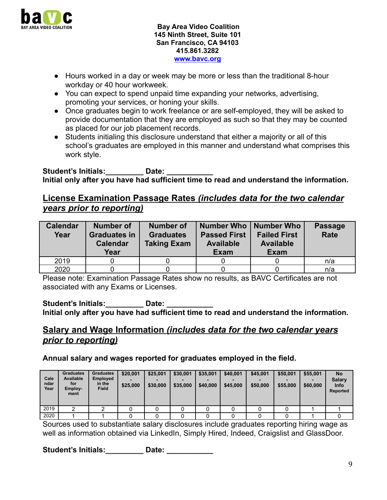

- Hours worked in a day or week may be more or less than the traditional 8-hour workday or 40 hour workweek.
- You can expect to spend unpaid time expanding your networks, advertising, promoting your services, or honing your skills.
- Once graduates begin to work freelance or are self-employed, they will be asked to provide documentation that they are employed as such so that they may be counted as placed for our job placement records.
- Students initialing this disclosure understand that either a majority or all of this school's graduates are employed in this manner and understand what comprises this work style.

Student's Initials: **Date:** Date: **Initial only after you have had sufficient time to read and understand the information.**

#### **License Examination Passage Rates** *(includes data for the two calendar years prior to reporting)*

| <b>Calendar</b><br>Year | <b>Number of</b><br><b>Graduates in</b><br><b>Calendar</b><br>Year | Number of<br><b>Graduates</b><br><b>Taking Exam</b> | Number Who   Number Who<br><b>Passed First</b><br><b>Available</b><br><b>Exam</b> | <b>Failed First</b><br><b>Available</b><br><b>Exam</b> | <b>Passage</b><br><b>Rate</b> |
|-------------------------|--------------------------------------------------------------------|-----------------------------------------------------|-----------------------------------------------------------------------------------|--------------------------------------------------------|-------------------------------|
| 2019                    |                                                                    |                                                     |                                                                                   |                                                        | n/a                           |
| 2020                    |                                                                    |                                                     |                                                                                   |                                                        | n/a                           |

Please note: Examination Passage Rates show no results, as BAVC Certificates are not associated with any Exams or Licenses.

Student's Initials: **Date:** Date: **Initial only after you have had sufficient time to read and understand the information.**

## **Salary and Wage Information** *(includes data for the two calendar years prior to reporting)*

**Annual salary and wages reported for graduates employed in the field.**

| Cale<br>ndar<br>Year | <b>Graduates</b><br><b>Available</b><br>for<br>Employ-<br>ment | <b>Graduates</b><br><b>Employed</b><br>in the<br><b>Field</b> | \$20,001<br>\$25,000 | \$25,001<br>\$30,000 | \$30,001<br>\$35,000 | \$35,001<br>\$40,000 | \$40,001<br>\$45,000 | \$45,001<br>\$50,000 | \$50,001<br>\$55,000 | \$55,001<br>\$60,000 | <b>No</b><br><b>Salary</b><br><b>Info</b><br><b>Reported</b> |
|----------------------|----------------------------------------------------------------|---------------------------------------------------------------|----------------------|----------------------|----------------------|----------------------|----------------------|----------------------|----------------------|----------------------|--------------------------------------------------------------|
| 2019                 |                                                                |                                                               |                      |                      |                      |                      |                      |                      |                      |                      |                                                              |
| 2020                 |                                                                |                                                               |                      |                      |                      |                      |                      |                      |                      |                      |                                                              |

Sources used to substantiate salary disclosures include graduates reporting hiring wage as well as information obtained via LinkedIn, Simply Hired, Indeed, Craigslist and GlassDoor.

Student's Initials: **Date:** Date: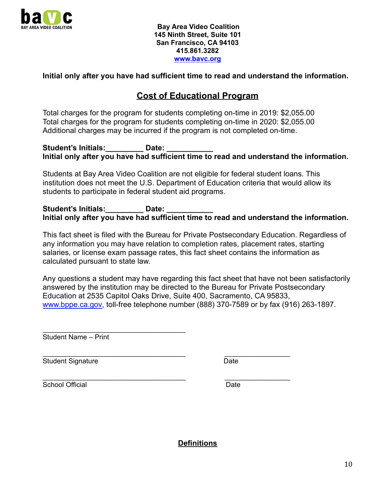

#### **Initial only after you have had sufficient time to read and understand the information.**

#### **Cost of Educational Program**

Total charges for the program for students completing on-time in 2019: \$2,055.00 Total charges for the program for students completing on-time in 2020: \$2,055.00 Additional charges may be incurred if the program is not completed on-time.

Student's Initials: **Date:** Date: **Initial only after you have had sufficient time to read and understand the information.**

Students at Bay Area Video Coalition are not eligible for federal student loans. This institution does not meet the U.S. Department of Education criteria that would allow its students to participate in federal student aid programs.

Student's Initials: **Date:** Date: **Initial only after you have had sufficient time to read and understand the information.**

This fact sheet is filed with the Bureau for Private Postsecondary Education. Regardless of any information you may have relation to completion rates, placement rates, starting salaries, or license exam passage rates, this fact sheet contains the information as calculated pursuant to state law.

Any questions a student may have regarding this fact sheet that have not been satisfactorily answered by the institution may be directed to the Bureau for Private Postsecondary Education at 2535 Capitol Oaks Drive, Suite 400, Sacramento, CA 95833, [www.bppe.ca.gov,](http://www.bppe.ca.gov) toll-free telephone number (888) 370-7589 or by fax (916) 263-1897.

Student Name – Print

 $\overline{\phantom{a}}$  , and the set of the set of the set of the set of the set of the set of the set of the set of the set of the set of the set of the set of the set of the set of the set of the set of the set of the set of the s

\_\_\_\_\_\_\_\_\_\_\_\_\_\_\_\_\_\_\_\_\_\_\_\_\_\_\_\_\_\_\_\_\_\_\_\_\_ \_\_\_\_\_\_\_\_\_\_\_\_\_\_\_\_\_ Student Signature Date

\_\_\_\_\_\_\_\_\_\_\_\_\_\_\_\_\_\_\_\_\_\_\_\_\_\_\_\_\_\_\_\_\_\_\_\_\_ \_\_\_\_\_\_\_\_\_\_\_\_\_\_\_\_\_ School Official **Date** Date **Date** 

**Definitions**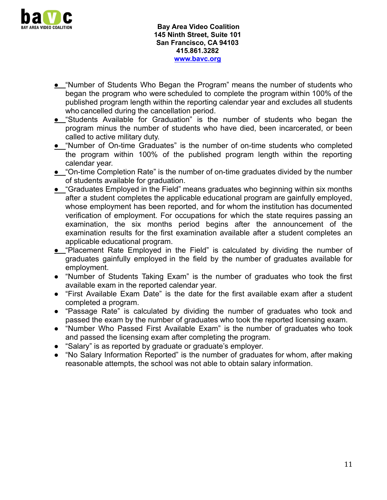

- **●** "Number of Students Who Began the Program" means the number of students who began the program who were scheduled to complete the program within 100% of the published program length within the reporting calendar year and excludes all students who cancelled during the cancellation period.
- **●** "Students Available for Graduation" is the number of students who began the program minus the number of students who have died, been incarcerated, or been called to active military duty.
- **●** "Number of On-time Graduates" is the number of on-time students who completed the program within 100% of the published program length within the reporting calendar year.
- **●** "On-time Completion Rate" is the number of on-time graduates divided by the number of students available for graduation.
- **●** "Graduates Employed in the Field" means graduates who beginning within six months after a student completes the applicable educational program are gainfully employed, whose employment has been reported, and for whom the institution has documented verification of employment. For occupations for which the state requires passing an examination, the six months period begins after the announcement of the examination results for the first examination available after a student completes an applicable educational program.
- **●** "Placement Rate Employed in the Field" is calculated by dividing the number of graduates gainfully employed in the field by the number of graduates available for employment.
- "Number of Students Taking Exam" is the number of graduates who took the first available exam in the reported calendar year.
- "First Available Exam Date" is the date for the first available exam after a student completed a program.
- "Passage Rate" is calculated by dividing the number of graduates who took and passed the exam by the number of graduates who took the reported licensing exam.
- "Number Who Passed First Available Exam" is the number of graduates who took and passed the licensing exam after completing the program.
- "Salary" is as reported by graduate or graduate's employer.
- "No Salary Information Reported" is the number of graduates for whom, after making reasonable attempts, the school was not able to obtain salary information.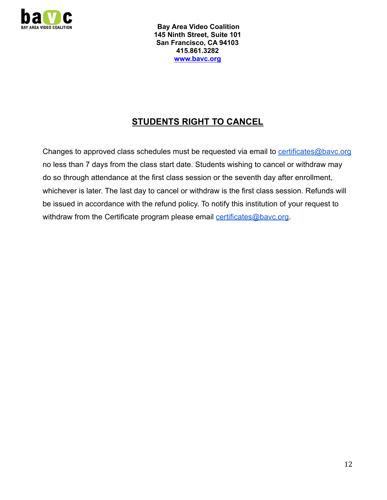

# **STUDENTS RIGHT TO CANCEL**

Changes to approved class schedules must be requested via email to [certificates@bavc.org](mailto:certificates@bavc.org) no less than 7 days from the class start date. Students wishing to cancel or withdraw may do so through attendance at the first class session or the seventh day after enrollment, whichever is later. The last day to cancel or withdraw is the first class session. Refunds will be issued in accordance with the refund policy. To notify this institution of your request to withdraw from the Certificate program please email [certificates@bavc.org](mailto:certificates@bavc.org).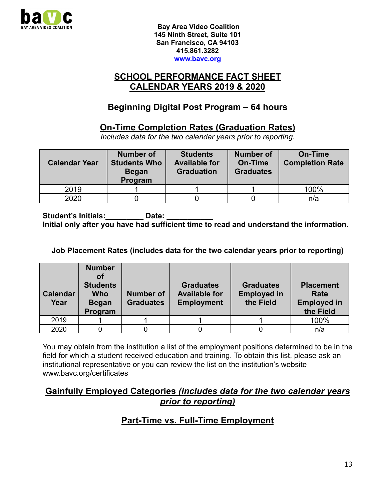

#### **SCHOOL PERFORMANCE FACT SHEET CALENDAR YEARS 2019 & 2020**

# **Beginning Digital Post Program – 64 hours**

## **On-Time Completion Rates (Graduation Rates)**

*Includes data for the two calendar years prior to reporting.*

| <b>Calendar Year</b> | <b>Number of</b><br><b>Students Who</b><br><b>Began</b><br>Program | <b>Students</b><br><b>Available for</b><br><b>Graduation</b> | <b>Number of</b><br><b>On-Time</b><br><b>Graduates</b> | On-Time<br><b>Completion Rate</b> |
|----------------------|--------------------------------------------------------------------|--------------------------------------------------------------|--------------------------------------------------------|-----------------------------------|
| 2019                 |                                                                    |                                                              |                                                        | 100%                              |
| 2020                 |                                                                    |                                                              |                                                        | n/a                               |

Student's Initials: **Date:** Date: **Initial only after you have had sufficient time to read and understand the information.**

#### **Job Placement Rates (includes data for the two calendar years prior to reporting)**

| <b>Calendar</b><br>Year | <b>Number</b><br>Ωf<br><b>Students</b><br><b>Who</b><br><b>Began</b><br>Program | <b>Number of</b><br><b>Graduates</b> | <b>Graduates</b><br><b>Available for</b><br><b>Employment</b> | <b>Graduates</b><br><b>Employed in</b><br>the Field | <b>Placement</b><br>Rate<br><b>Employed in</b><br>the Field |
|-------------------------|---------------------------------------------------------------------------------|--------------------------------------|---------------------------------------------------------------|-----------------------------------------------------|-------------------------------------------------------------|
| 2019                    |                                                                                 |                                      |                                                               |                                                     | 100%                                                        |
| 2020                    |                                                                                 |                                      |                                                               |                                                     | n/a                                                         |

You may obtain from the institution a list of the employment positions determined to be in the field for which a student received education and training. To obtain this list, please ask an institutional representative or you can review the list on the institution's website www.bavc.org/certificates

#### **Gainfully Employed Categories** *(includes data for the two calendar years prior to reporting)*

## **Part-Time vs. Full-Time Employment**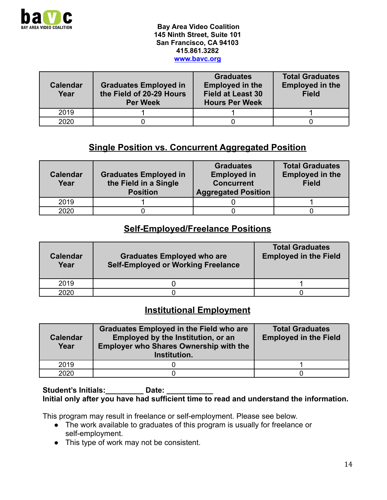

| <b>Calendar</b><br>Year | <b>Graduates Employed in</b><br>the Field of 20-29 Hours<br><b>Per Week</b> | <b>Graduates</b><br><b>Employed in the</b><br><b>Field at Least 30</b><br><b>Hours Per Week</b> | <b>Total Graduates</b><br><b>Employed in the</b><br><b>Field</b> |  |  |
|-------------------------|-----------------------------------------------------------------------------|-------------------------------------------------------------------------------------------------|------------------------------------------------------------------|--|--|
| 2019                    |                                                                             |                                                                                                 |                                                                  |  |  |
| 2020                    |                                                                             |                                                                                                 |                                                                  |  |  |

## **Single Position vs. Concurrent Aggregated Position**

| <b>Calendar</b><br>Year | <b>Graduates Employed in</b><br>the Field in a Single<br><b>Position</b> | <b>Graduates</b><br><b>Employed in</b><br><b>Concurrent</b><br><b>Aggregated Position</b> | <b>Total Graduates</b><br><b>Employed in the</b><br><b>Field</b> |
|-------------------------|--------------------------------------------------------------------------|-------------------------------------------------------------------------------------------|------------------------------------------------------------------|
| 2019                    |                                                                          |                                                                                           |                                                                  |
| 2020                    |                                                                          |                                                                                           |                                                                  |

#### **Self-Employed/Freelance Positions**

| <b>Calendar</b><br>Year | <b>Graduates Employed who are</b><br><b>Self-Employed or Working Freelance</b> | <b>Total Graduates</b><br><b>Employed in the Field</b> |
|-------------------------|--------------------------------------------------------------------------------|--------------------------------------------------------|
| 2019                    |                                                                                |                                                        |
| 2020                    |                                                                                |                                                        |

# **Institutional Employment**

| <b>Calendar</b><br>Year | <b>Graduates Employed in the Field who are</b><br>Employed by the Institution, or an<br><b>Employer who Shares Ownership with the</b><br>Institution. | <b>Total Graduates</b><br><b>Employed in the Field</b> |
|-------------------------|-------------------------------------------------------------------------------------------------------------------------------------------------------|--------------------------------------------------------|
| 2019                    |                                                                                                                                                       |                                                        |
| 2020                    |                                                                                                                                                       |                                                        |

#### Student's Initials: **Date:** Date: **Initial only after you have had sufficient time to read and understand the information.**

This program may result in freelance or self-employment. Please see below.

- The work available to graduates of this program is usually for freelance or self-employment.
- This type of work may not be consistent.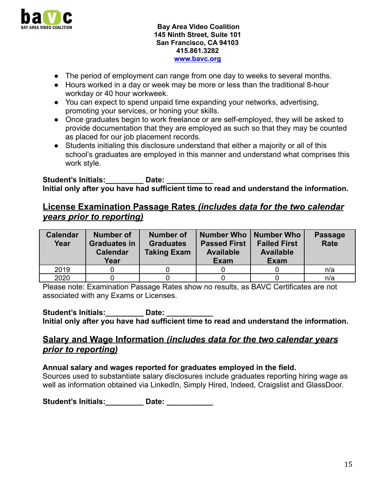

- The period of employment can range from one day to weeks to several months.
- Hours worked in a day or week may be more or less than the traditional 8-hour workday or 40 hour workweek.
- You can expect to spend unpaid time expanding your networks, advertising, promoting your services, or honing your skills.
- Once graduates begin to work freelance or are self-employed, they will be asked to provide documentation that they are employed as such so that they may be counted as placed for our job placement records.
- Students initialing this disclosure understand that either a majority or all of this school's graduates are employed in this manner and understand what comprises this work style.

Student's Initials: **Date:** Date: **Initial only after you have had sufficient time to read and understand the information.**

### **License Examination Passage Rates** *(includes data for the two calendar years prior to reporting)*

| <b>Calendar</b><br>Year | <b>Number of</b><br><b>Graduates in</b><br><b>Calendar</b><br>Year | <b>Number of</b><br><b>Graduates</b><br><b>Taking Exam</b> | Number Who  <br><b>Passed First</b><br><b>Available</b><br><b>Exam</b> | <b>Number Who</b><br><b>Failed First</b><br><b>Available</b><br><b>Exam</b> | <b>Passage</b><br><b>Rate</b> |
|-------------------------|--------------------------------------------------------------------|------------------------------------------------------------|------------------------------------------------------------------------|-----------------------------------------------------------------------------|-------------------------------|
| 2019                    |                                                                    |                                                            |                                                                        |                                                                             | n/a                           |
| 2020                    |                                                                    |                                                            |                                                                        |                                                                             | n/a                           |

Please note: Examination Passage Rates show no results, as BAVC Certificates are not associated with any Exams or Licenses.

Student's Initials: **Date:** Date: **Initial only after you have had sufficient time to read and understand the information.**

#### **Salary and Wage Information** *(includes data for the two calendar years prior to reporting)*

#### **Annual salary and wages reported for graduates employed in the field.**

Sources used to substantiate salary disclosures include graduates reporting hiring wage as well as information obtained via LinkedIn, Simply Hired, Indeed, Craigslist and GlassDoor.

**Student's Initials:\_\_\_\_\_\_\_\_\_ Date: \_\_\_\_\_\_\_\_\_\_\_**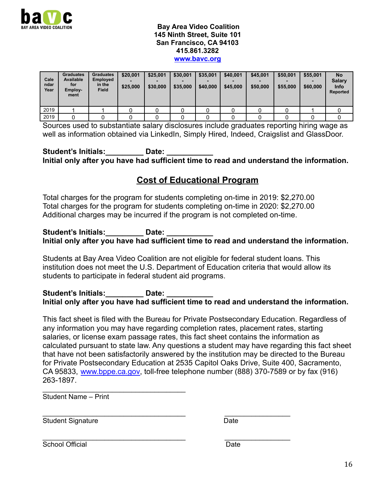

| Cale<br>ndar<br>Year | <b>Graduates</b><br><b>Available</b><br>for<br>Employ-<br>ment | <b>Graduates</b><br><b>Employed</b><br>in the<br><b>Field</b> | \$20,001<br>\$25,000 | \$25,001<br>\$30,000 | \$30,001<br>\$35,000 | \$35,001<br>\$40,000 | \$40,001<br>\$45,000 | \$45,001<br>\$50,000 | \$50,001<br>\$55,000 | \$55,001<br>-<br>\$60,000 | <b>No</b><br><b>Salary</b><br><b>Info</b><br>Reported |
|----------------------|----------------------------------------------------------------|---------------------------------------------------------------|----------------------|----------------------|----------------------|----------------------|----------------------|----------------------|----------------------|---------------------------|-------------------------------------------------------|
| 2019                 |                                                                |                                                               |                      |                      |                      |                      |                      |                      |                      |                           |                                                       |
| 2019                 |                                                                |                                                               |                      |                      |                      |                      |                      |                      |                      |                           |                                                       |

Sources used to substantiate salary disclosures include graduates reporting hiring wage as well as information obtained via LinkedIn, Simply Hired, Indeed, Craigslist and GlassDoor.

Student's Initials: **Date:** Date: **Initial only after you have had sufficient time to read and understand the information.**

## **Cost of Educational Program**

Total charges for the program for students completing on-time in 2019: \$2,270.00 Total charges for the program for students completing on-time in 2020: \$2,270.00 Additional charges may be incurred if the program is not completed on-time.

#### Student's Initials: **Date:** Date: **Initial only after you have had sufficient time to read and understand the information.**

Students at Bay Area Video Coalition are not eligible for federal student loans. This institution does not meet the U.S. Department of Education criteria that would allow its students to participate in federal student aid programs.

#### Student's Initials: **Date:** Date: **Initial only after you have had sufficient time to read and understand the information.**

This fact sheet is filed with the Bureau for Private Postsecondary Education. Regardless of any information you may have regarding completion rates, placement rates, starting salaries, or license exam passage rates, this fact sheet contains the information as calculated pursuant to state law. Any questions a student may have regarding this fact sheet that have not been satisfactorily answered by the institution may be directed to the Bureau for Private Postsecondary Education at 2535 Capitol Oaks Drive, Suite 400, Sacramento, CA 95833, [www.bppe.ca.gov,](http://www.bppe.ca.gov) toll-free telephone number (888) 370-7589 or by fax (916) 263-1897.

Student Name – Print

 $\overline{\phantom{a}}$  , and the set of the set of the set of the set of the set of the set of the set of the set of the set of the set of the set of the set of the set of the set of the set of the set of the set of the set of the s

Student Signature Date

\_\_\_\_\_\_\_\_\_\_\_\_\_\_\_\_\_\_\_\_\_\_\_\_\_\_\_\_\_\_\_\_\_\_\_\_\_ \_\_\_\_\_\_\_\_\_\_\_\_\_\_\_\_\_

\_\_\_\_\_\_\_\_\_\_\_\_\_\_\_\_\_\_\_\_\_\_\_\_\_\_\_\_\_\_\_\_\_\_\_\_\_ \_\_\_\_\_\_\_\_\_\_\_\_\_\_\_\_\_ School Official Date Date Date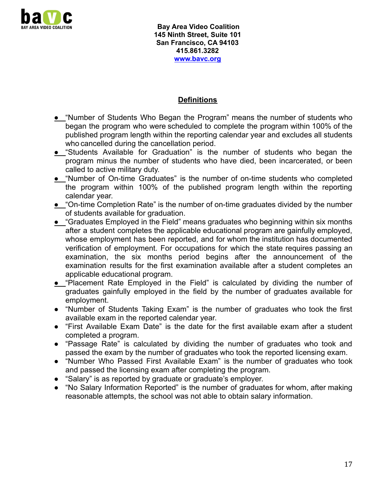

#### **Definitions**

- **●** "Number of Students Who Began the Program" means the number of students who began the program who were scheduled to complete the program within 100% of the published program length within the reporting calendar year and excludes all students who cancelled during the cancellation period.
- **●** "Students Available for Graduation" is the number of students who began the program minus the number of students who have died, been incarcerated, or been called to active military duty.
- **●** "Number of On-time Graduates" is the number of on-time students who completed the program within 100% of the published program length within the reporting calendar year.
- **●** "On-time Completion Rate" is the number of on-time graduates divided by the number of students available for graduation.
- **●** "Graduates Employed in the Field" means graduates who beginning within six months after a student completes the applicable educational program are gainfully employed, whose employment has been reported, and for whom the institution has documented verification of employment. For occupations for which the state requires passing an examination, the six months period begins after the announcement of the examination results for the first examination available after a student completes an applicable educational program.
- **●** "Placement Rate Employed in the Field" is calculated by dividing the number of graduates gainfully employed in the field by the number of graduates available for employment.
- "Number of Students Taking Exam" is the number of graduates who took the first available exam in the reported calendar year.
- "First Available Exam Date" is the date for the first available exam after a student completed a program.
- "Passage Rate" is calculated by dividing the number of graduates who took and passed the exam by the number of graduates who took the reported licensing exam.
- "Number Who Passed First Available Exam" is the number of graduates who took and passed the licensing exam after completing the program.
- "Salary" is as reported by graduate or graduate's employer.
- "No Salary Information Reported" is the number of graduates for whom, after making reasonable attempts, the school was not able to obtain salary information.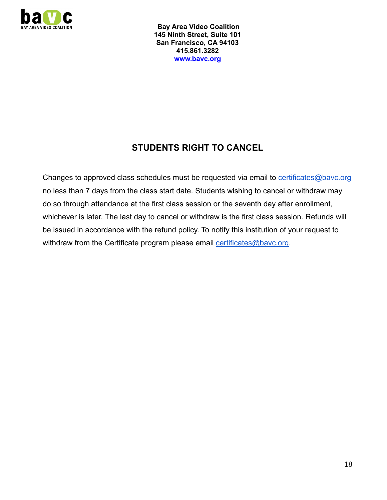

# **STUDENTS RIGHT TO CANCEL**

Changes to approved class schedules must be requested via email to [certificates@bavc.org](mailto:certificates@bavc.org) no less than 7 days from the class start date. Students wishing to cancel or withdraw may do so through attendance at the first class session or the seventh day after enrollment, whichever is later. The last day to cancel or withdraw is the first class session. Refunds will be issued in accordance with the refund policy. To notify this institution of your request to withdraw from the Certificate program please email [certificates@bavc.org](mailto:certificates@bavc.org).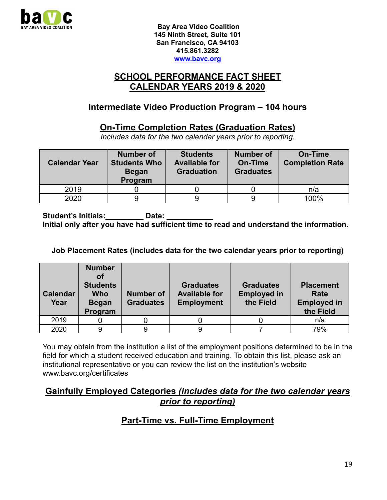

### **SCHOOL PERFORMANCE FACT SHEET CALENDAR YEARS 2019 & 2020**

## **Intermediate Video Production Program – 104 hours**

### **On-Time Completion Rates (Graduation Rates)**

*Includes data for the two calendar years prior to reporting.*

| <b>Calendar Year</b> | <b>Number of</b><br><b>Students Who</b><br><b>Began</b><br>Program | <b>Students</b><br><b>Available for</b><br><b>Graduation</b> | <b>Number of</b><br>On-Time<br><b>Graduates</b> | On-Time<br><b>Completion Rate</b> |
|----------------------|--------------------------------------------------------------------|--------------------------------------------------------------|-------------------------------------------------|-----------------------------------|
| 2019                 |                                                                    |                                                              |                                                 | n/a                               |
| 2020                 |                                                                    |                                                              |                                                 | 100%                              |

Student's Initials: **Date:** Date: **Initial only after you have had sufficient time to read and understand the information.**

#### **Job Placement Rates (includes data for the two calendar years prior to reporting)**

| <b>Calendar</b><br>Year | <b>Number</b><br>Ωf<br><b>Students</b><br><b>Who</b><br><b>Began</b><br>Program | <b>Number of</b><br><b>Graduates</b> | <b>Graduates</b><br><b>Available for</b><br><b>Employment</b> | <b>Graduates</b><br><b>Employed in</b><br>the Field | <b>Placement</b><br>Rate<br><b>Employed in</b><br>the Field |
|-------------------------|---------------------------------------------------------------------------------|--------------------------------------|---------------------------------------------------------------|-----------------------------------------------------|-------------------------------------------------------------|
| 2019                    |                                                                                 |                                      |                                                               |                                                     | n/a                                                         |
| 2020                    | q                                                                               |                                      | a                                                             |                                                     | 79%                                                         |

You may obtain from the institution a list of the employment positions determined to be in the field for which a student received education and training. To obtain this list, please ask an institutional representative or you can review the list on the institution's website www.bavc.org/certificates

#### **Gainfully Employed Categories** *(includes data for the two calendar years prior to reporting)*

## **Part-Time vs. Full-Time Employment**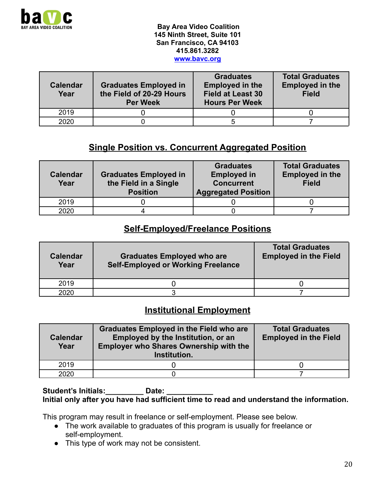

| <b>Calendar</b><br>Year | <b>Graduates Employed in</b><br>the Field of 20-29 Hours<br><b>Per Week</b> | <b>Graduates</b><br><b>Employed in the</b><br><b>Field at Least 30</b><br><b>Hours Per Week</b> | <b>Total Graduates</b><br><b>Employed in the</b><br><b>Field</b> |
|-------------------------|-----------------------------------------------------------------------------|-------------------------------------------------------------------------------------------------|------------------------------------------------------------------|
| 2019                    |                                                                             |                                                                                                 |                                                                  |
| 2020                    |                                                                             |                                                                                                 |                                                                  |

## **Single Position vs. Concurrent Aggregated Position**

| <b>Calendar</b><br>Year | <b>Graduates Employed in</b><br>the Field in a Single<br><b>Position</b> | <b>Graduates</b><br><b>Employed in</b><br><b>Concurrent</b><br><b>Aggregated Position</b> | <b>Total Graduates</b><br><b>Employed in the</b><br><b>Field</b> |
|-------------------------|--------------------------------------------------------------------------|-------------------------------------------------------------------------------------------|------------------------------------------------------------------|
| 2019                    |                                                                          |                                                                                           |                                                                  |
| 2020                    |                                                                          |                                                                                           |                                                                  |

#### **Self-Employed/Freelance Positions**

| <b>Calendar</b><br>Year | <b>Graduates Employed who are</b><br><b>Self-Employed or Working Freelance</b> | <b>Total Graduates</b><br><b>Employed in the Field</b> |
|-------------------------|--------------------------------------------------------------------------------|--------------------------------------------------------|
| 2019                    |                                                                                |                                                        |
| 2020                    |                                                                                |                                                        |

# **Institutional Employment**

| <b>Calendar</b><br>Year | <b>Graduates Employed in the Field who are</b><br>Employed by the Institution, or an<br><b>Employer who Shares Ownership with the</b><br>Institution. | <b>Total Graduates</b><br><b>Employed in the Field</b> |
|-------------------------|-------------------------------------------------------------------------------------------------------------------------------------------------------|--------------------------------------------------------|
| 2019                    |                                                                                                                                                       |                                                        |
| 2020                    |                                                                                                                                                       |                                                        |

#### Student's Initials: **Date:** Date: **Initial only after you have had sufficient time to read and understand the information.**

This program may result in freelance or self-employment. Please see below.

- The work available to graduates of this program is usually for freelance or self-employment.
- This type of work may not be consistent.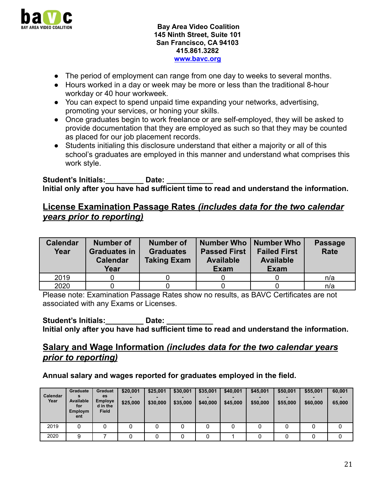

- The period of employment can range from one day to weeks to several months.
- Hours worked in a day or week may be more or less than the traditional 8-hour workday or 40 hour workweek.
- You can expect to spend unpaid time expanding your networks, advertising, promoting your services, or honing your skills.
- Once graduates begin to work freelance or are self-employed, they will be asked to provide documentation that they are employed as such so that they may be counted as placed for our job placement records.
- Students initialing this disclosure understand that either a majority or all of this school's graduates are employed in this manner and understand what comprises this work style.

Student's Initials: **Date:** Date: **Initial only after you have had sufficient time to read and understand the information.**

### **License Examination Passage Rates** *(includes data for the two calendar years prior to reporting)*

| <b>Calendar</b><br>Year | <b>Number of</b><br><b>Graduates in</b><br><b>Calendar</b><br>Year | <b>Number of</b><br><b>Graduates</b><br><b>Taking Exam</b> | Number Who   Number Who<br><b>Passed First</b><br><b>Available</b><br><b>Exam</b> | <b>Failed First</b><br><b>Available</b><br><b>Exam</b> | <b>Passage</b><br>Rate |
|-------------------------|--------------------------------------------------------------------|------------------------------------------------------------|-----------------------------------------------------------------------------------|--------------------------------------------------------|------------------------|
| 2019                    |                                                                    |                                                            |                                                                                   |                                                        | n/a                    |
| 2020                    |                                                                    |                                                            |                                                                                   |                                                        | n/a                    |

Please note: Examination Passage Rates show no results, as BAVC Certificates are not associated with any Exams or Licenses.

Student's Initials: **Date:** Date: **Initial only after you have had sufficient time to read and understand the information.**

#### **Salary and Wage Information** *(includes data for the two calendar years prior to reporting)*

#### **Annual salary and wages reported for graduates employed in the field.**

| Calendar<br>Year | Graduate<br>Available<br>for<br><b>Employm</b><br>ent | Graduat<br>es<br><b>Employe</b><br>d in the<br><b>Field</b> | \$20,001<br>\$25,000 | \$25,001<br>\$30,000 | \$30,001<br>\$35,000 | \$35,001<br>\$40,000 | \$40,001<br>\$45,000 | \$45,001<br>\$50,000 | \$50,001<br>\$55,000 | \$55,001<br>\$60,000 | 60,001<br>65,000 |
|------------------|-------------------------------------------------------|-------------------------------------------------------------|----------------------|----------------------|----------------------|----------------------|----------------------|----------------------|----------------------|----------------------|------------------|
| 2019             | 0                                                     |                                                             | 0                    |                      |                      |                      | 0                    |                      |                      |                      | 0                |
| 2020             | 9                                                     |                                                             |                      |                      |                      |                      |                      |                      |                      |                      | 0                |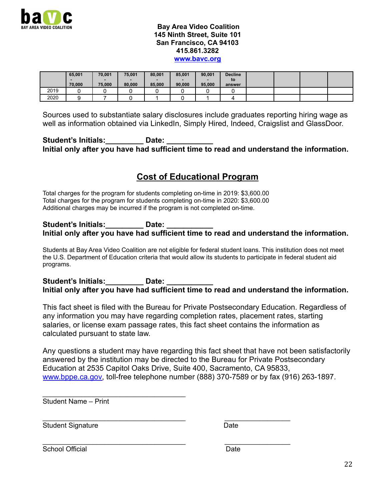

|      | 65,001 | 70,001 | 75,001 | 80,001 | 85,001 | 90,001 | <b>Decline</b> |  |  |
|------|--------|--------|--------|--------|--------|--------|----------------|--|--|
|      |        |        |        |        |        |        | to             |  |  |
|      | 70,000 | 75.000 | 80,000 | 85,000 | 90.000 | 95,000 | answer         |  |  |
| 2019 |        |        |        |        |        |        |                |  |  |
| 2020 |        |        |        |        |        |        |                |  |  |

Sources used to substantiate salary disclosures include graduates reporting hiring wage as well as information obtained via LinkedIn, Simply Hired, Indeed, Craigslist and GlassDoor.

Student's Initials: **Late:** Date: **Initial only after you have had sufficient time to read and understand the information.**

## **Cost of Educational Program**

Total charges for the program for students completing on-time in 2019: \$3,600.00 Total charges for the program for students completing on-time in 2020: \$3,600.00 Additional charges may be incurred if the program is not completed on-time.

#### **Student's Initials:\_\_\_\_\_\_\_\_\_ Date: \_\_\_\_\_\_\_\_\_\_\_ Initial only after you have had sufficient time to read and understand the information.**

Students at Bay Area Video Coalition are not eligible for federal student loans. This institution does not meet the U.S. Department of Education criteria that would allow its students to participate in federal student aid programs.

Student's Initials: **Date:** Date: **Initial only after you have had sufficient time to read and understand the information.**

This fact sheet is filed with the Bureau for Private Postsecondary Education. Regardless of any information you may have regarding completion rates, placement rates, starting salaries, or license exam passage rates, this fact sheet contains the information as calculated pursuant to state law.

Any questions a student may have regarding this fact sheet that have not been satisfactorily answered by the institution may be directed to the Bureau for Private Postsecondary Education at 2535 Capitol Oaks Drive, Suite 400, Sacramento, CA 95833, [www.bppe.ca.gov,](http://www.bppe.ca.gov) toll-free telephone number (888) 370-7589 or by fax (916) 263-1897.

 $\overline{\phantom{a}}$  , and the set of the set of the set of the set of the set of the set of the set of the set of the set of the set of the set of the set of the set of the set of the set of the set of the set of the set of the s Student Name – Print

Student Signature Date

\_\_\_\_\_\_\_\_\_\_\_\_\_\_\_\_\_\_\_\_\_\_\_\_\_\_\_\_\_\_\_\_\_\_\_\_\_ \_\_\_\_\_\_\_\_\_\_\_\_\_\_\_\_\_

\_\_\_\_\_\_\_\_\_\_\_\_\_\_\_\_\_\_\_\_\_\_\_\_\_\_\_\_\_\_\_\_\_\_\_\_\_ \_\_\_\_\_\_\_\_\_\_\_\_\_\_\_\_\_ School Official **Date**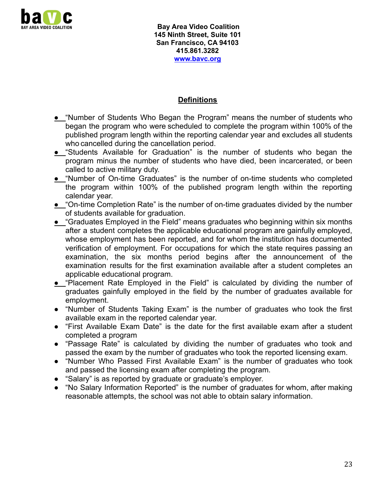

#### **Definitions**

- **●** "Number of Students Who Began the Program" means the number of students who began the program who were scheduled to complete the program within 100% of the published program length within the reporting calendar year and excludes all students who cancelled during the cancellation period.
- **●** "Students Available for Graduation" is the number of students who began the program minus the number of students who have died, been incarcerated, or been called to active military duty.
- **●** "Number of On-time Graduates" is the number of on-time students who completed the program within 100% of the published program length within the reporting calendar year.
- **●** "On-time Completion Rate" is the number of on-time graduates divided by the number of students available for graduation.
- **●** "Graduates Employed in the Field" means graduates who beginning within six months after a student completes the applicable educational program are gainfully employed, whose employment has been reported, and for whom the institution has documented verification of employment. For occupations for which the state requires passing an examination, the six months period begins after the announcement of the examination results for the first examination available after a student completes an applicable educational program.
- **●** "Placement Rate Employed in the Field" is calculated by dividing the number of graduates gainfully employed in the field by the number of graduates available for employment.
- "Number of Students Taking Exam" is the number of graduates who took the first available exam in the reported calendar year.
- "First Available Exam Date" is the date for the first available exam after a student completed a program
- "Passage Rate" is calculated by dividing the number of graduates who took and passed the exam by the number of graduates who took the reported licensing exam.
- "Number Who Passed First Available Exam" is the number of graduates who took and passed the licensing exam after completing the program.
- "Salary" is as reported by graduate or graduate's employer.
- "No Salary Information Reported" is the number of graduates for whom, after making reasonable attempts, the school was not able to obtain salary information.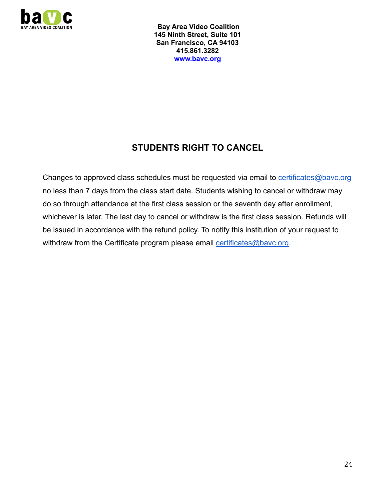

# **STUDENTS RIGHT TO CANCEL**

Changes to approved class schedules must be requested via email to [certificates@bavc.org](mailto:certificates@bavc.org) no less than 7 days from the class start date. Students wishing to cancel or withdraw may do so through attendance at the first class session or the seventh day after enrollment, whichever is later. The last day to cancel or withdraw is the first class session. Refunds will be issued in accordance with the refund policy. To notify this institution of your request to withdraw from the Certificate program please email [certificates@bavc.org](mailto:certificates@bavc.org).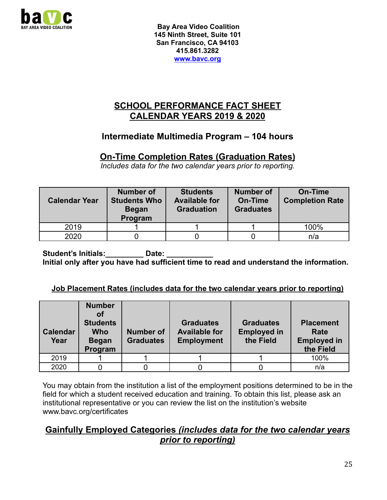

### **SCHOOL PERFORMANCE FACT SHEET CALENDAR YEARS 2019 & 2020**

## **Intermediate Multimedia Program – 104 hours**

### **On-Time Completion Rates (Graduation Rates)**

*Includes data for the two calendar years prior to reporting.*

| <b>Calendar Year</b> | <b>Number of</b><br><b>Students Who</b><br><b>Began</b><br>Program | <b>Students</b><br><b>Available for</b><br><b>Graduation</b> | <b>Number of</b><br>On-Time<br><b>Graduates</b> | On-Time<br><b>Completion Rate</b> |
|----------------------|--------------------------------------------------------------------|--------------------------------------------------------------|-------------------------------------------------|-----------------------------------|
| 2019                 |                                                                    |                                                              |                                                 | 100%                              |
| 2020                 |                                                                    |                                                              |                                                 | n/a                               |

Student's Initials: **Date:** Date: **Initial only after you have had sufficient time to read and understand the information.**

#### **Job Placement Rates (includes data for the two calendar years prior to reporting)**

| <b>Calendar</b><br>Year | <b>Number</b><br>Οf<br><b>Students</b><br><b>Who</b><br><b>Began</b><br>Program | <b>Number of</b><br><b>Graduates</b> | <b>Graduates</b><br><b>Available for</b><br><b>Employment</b> | <b>Graduates</b><br><b>Employed in</b><br>the Field | <b>Placement</b><br>Rate<br><b>Employed in</b><br>the Field |
|-------------------------|---------------------------------------------------------------------------------|--------------------------------------|---------------------------------------------------------------|-----------------------------------------------------|-------------------------------------------------------------|
| 2019                    |                                                                                 |                                      |                                                               |                                                     | 100%                                                        |
| 2020                    |                                                                                 |                                      |                                                               |                                                     | n/a                                                         |

You may obtain from the institution a list of the employment positions determined to be in the field for which a student received education and training. To obtain this list, please ask an institutional representative or you can review the list on the institution's website www.bavc.org/certificates

## **Gainfully Employed Categories** *(includes data for the two calendar years prior to reporting)*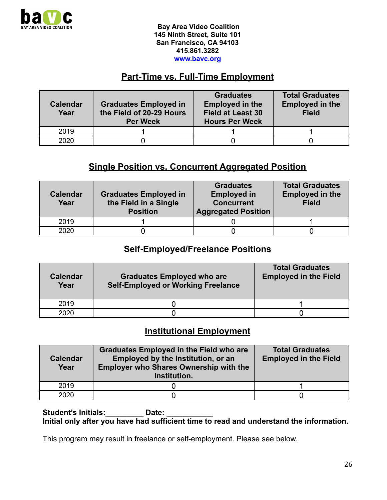

# **Part-Time vs. Full-Time Employment**

| <b>Calendar</b><br>Year | <b>Graduates Employed in</b><br>the Field of 20-29 Hours<br><b>Per Week</b> | <b>Graduates</b><br><b>Employed in the</b><br><b>Field at Least 30</b><br><b>Hours Per Week</b> | <b>Total Graduates</b><br><b>Employed in the</b><br><b>Field</b> |
|-------------------------|-----------------------------------------------------------------------------|-------------------------------------------------------------------------------------------------|------------------------------------------------------------------|
| 2019                    |                                                                             |                                                                                                 |                                                                  |
| 2020                    |                                                                             |                                                                                                 |                                                                  |

## **Single Position vs. Concurrent Aggregated Position**

| <b>Calendar</b><br>Year | <b>Graduates Employed in</b><br>the Field in a Single<br><b>Position</b> | <b>Graduates</b><br><b>Employed in</b><br><b>Concurrent</b><br><b>Aggregated Position</b> | <b>Total Graduates</b><br><b>Employed in the</b><br><b>Field</b> |
|-------------------------|--------------------------------------------------------------------------|-------------------------------------------------------------------------------------------|------------------------------------------------------------------|
| 2019                    |                                                                          |                                                                                           |                                                                  |
| 2020                    |                                                                          |                                                                                           |                                                                  |

#### **Self-Employed/Freelance Positions**

| <b>Calendar</b><br>Year | <b>Graduates Employed who are</b><br><b>Self-Employed or Working Freelance</b> | <b>Total Graduates</b><br><b>Employed in the Field</b> |
|-------------------------|--------------------------------------------------------------------------------|--------------------------------------------------------|
| 2019                    |                                                                                |                                                        |
| 2020                    |                                                                                |                                                        |

## **Institutional Employment**

| <b>Calendar</b><br>Year | <b>Graduates Employed in the Field who are</b><br>Employed by the Institution, or an<br><b>Employer who Shares Ownership with the</b><br>Institution. | <b>Total Graduates</b><br><b>Employed in the Field</b> |
|-------------------------|-------------------------------------------------------------------------------------------------------------------------------------------------------|--------------------------------------------------------|
| 2019                    |                                                                                                                                                       |                                                        |
| 2020                    |                                                                                                                                                       |                                                        |

Student's Initials: Date: **Initial only after you have had sufficient time to read and understand the information.**

This program may result in freelance or self-employment. Please see below.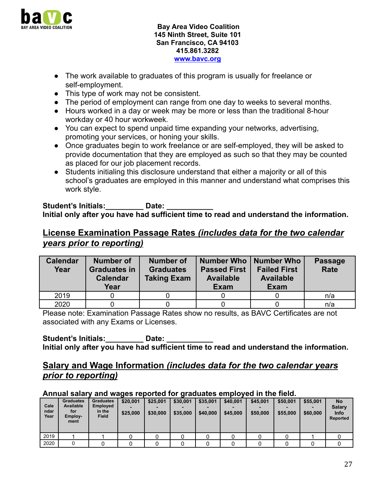

- The work available to graduates of this program is usually for freelance or self-employment.
- This type of work may not be consistent.
- The period of employment can range from one day to weeks to several months.
- Hours worked in a day or week may be more or less than the traditional 8-hour workday or 40 hour workweek.
- You can expect to spend unpaid time expanding your networks, advertising, promoting your services, or honing your skills.
- Once graduates begin to work freelance or are self-employed, they will be asked to provide documentation that they are employed as such so that they may be counted as placed for our job placement records.
- Students initialing this disclosure understand that either a majority or all of this school's graduates are employed in this manner and understand what comprises this work style.

#### Student's Initials: **Date:** Date: **Initial only after you have had sufficient time to read and understand the information.**

## **License Examination Passage Rates** *(includes data for the two calendar years prior to reporting)*

| <b>Calendar</b><br>Year | <b>Number of</b><br><b>Graduates in</b><br><b>Calendar</b><br>Year | <b>Number of</b><br><b>Graduates</b><br><b>Taking Exam</b> | Number Who   Number Who<br><b>Passed First</b><br><b>Available</b><br><b>Exam</b> | <b>Failed First</b><br><b>Available</b><br><b>Exam</b> | <b>Passage</b><br>Rate |
|-------------------------|--------------------------------------------------------------------|------------------------------------------------------------|-----------------------------------------------------------------------------------|--------------------------------------------------------|------------------------|
|                         |                                                                    |                                                            |                                                                                   |                                                        |                        |
| 2019                    |                                                                    |                                                            |                                                                                   |                                                        | n/a                    |

Please note: Examination Passage Rates show no results, as BAVC Certificates are not associated with any Exams or Licenses.

Student's Initials: **Date:** Date: **Initial only after you have had sufficient time to read and understand the information.**

### **Salary and Wage Information** *(includes data for the two calendar years prior to reporting)*

#### **Annual salary and wages reported for graduates employed in the field.**

| Cale<br>ndar<br>Year | <b>Graduates</b><br><b>Available</b><br>for<br>Employ-<br>ment | <b>Graduates</b><br><b>Employed</b><br>in the<br><b>Field</b> | \$20,001<br>-<br>\$25,000 | \$25,001<br>\$30,000 | \$30,001<br>\$35,000 | \$35,001<br>\$40,000 | \$40,001<br>\$45,000 | \$45,001<br>\$50,000 | \$50,001<br>\$55,000 | \$55,001<br>\$60,000 | <b>No</b><br>Salary<br><b>Info</b><br>Reported |
|----------------------|----------------------------------------------------------------|---------------------------------------------------------------|---------------------------|----------------------|----------------------|----------------------|----------------------|----------------------|----------------------|----------------------|------------------------------------------------|
| 2019                 |                                                                |                                                               |                           |                      |                      |                      |                      |                      |                      |                      |                                                |
| 2020                 |                                                                |                                                               |                           |                      |                      |                      |                      |                      |                      |                      |                                                |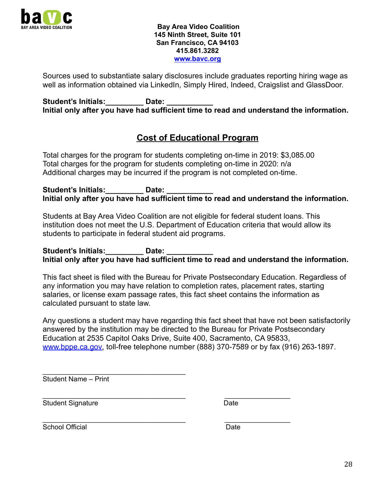

Sources used to substantiate salary disclosures include graduates reporting hiring wage as well as information obtained via LinkedIn, Simply Hired, Indeed, Craigslist and GlassDoor.

Student's Initials: **Date:** Date: **Initial only after you have had sufficient time to read and understand the information.**

## **Cost of Educational Program**

Total charges for the program for students completing on-time in 2019: \$3,085.00 Total charges for the program for students completing on-time in 2020: n/a Additional charges may be incurred if the program is not completed on-time.

Student's Initials: **Date:** Date: **Initial only after you have had sufficient time to read and understand the information.**

Students at Bay Area Video Coalition are not eligible for federal student loans. This institution does not meet the U.S. Department of Education criteria that would allow its students to participate in federal student aid programs.

Student's Initials: **Date:** Date: **Initial only after you have had sufficient time to read and understand the information.**

This fact sheet is filed with the Bureau for Private Postsecondary Education. Regardless of any information you may have relation to completion rates, placement rates, starting salaries, or license exam passage rates, this fact sheet contains the information as calculated pursuant to state law.

Any questions a student may have regarding this fact sheet that have not been satisfactorily answered by the institution may be directed to the Bureau for Private Postsecondary Education at 2535 Capitol Oaks Drive, Suite 400, Sacramento, CA 95833, [www.bppe.ca.gov,](http://www.bppe.ca.gov) toll-free telephone number (888) 370-7589 or by fax (916) 263-1897.

Student Name – Print

 $\overline{\phantom{a}}$  , and the contract of the contract of the contract of the contract of the contract of the contract of the contract of the contract of the contract of the contract of the contract of the contract of the contrac

\_\_\_\_\_\_\_\_\_\_\_\_\_\_\_\_\_\_\_\_\_\_\_\_\_\_\_\_\_\_\_\_\_\_\_\_\_ \_\_\_\_\_\_\_\_\_\_\_\_\_\_\_\_\_ Student Signature Date

\_\_\_\_\_\_\_\_\_\_\_\_\_\_\_\_\_\_\_\_\_\_\_\_\_\_\_\_\_\_\_\_\_\_\_\_\_ \_\_\_\_\_\_\_\_\_\_\_\_\_\_\_\_\_ School Official **Date**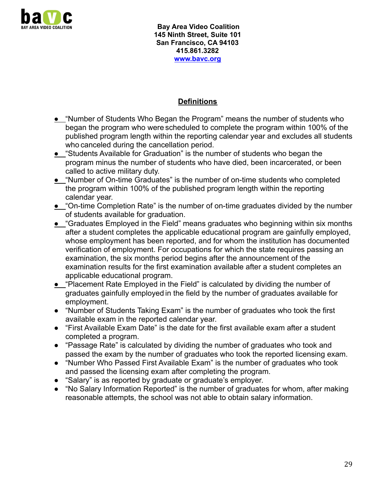

#### **Definitions**

- **●** "Number of Students Who Began the Program" means the number of students who began the program who were scheduled to complete the program within 100% of the published program length within the reporting calendar year and excludes all students who canceled during the cancellation period.
- **•** "Students Available for Graduation" is the number of students who began the program minus the number of students who have died, been incarcerated, or been called to active military duty.
- **●** "Number of On-time Graduates" is the number of on-time students who completed the program within 100% of the published program length within the reporting calendar year.
- **●** "On-time Completion Rate" is the number of on-time graduates divided by the number of students available for graduation.
- **●** "Graduates Employed in the Field" means graduates who beginning within six months after a student completes the applicable educational program are gainfully employed, whose employment has been reported, and for whom the institution has documented verification of employment. For occupations for which the state requires passing an examination, the six months period begins after the announcement of the examination results for the first examination available after a student completes an applicable educational program.
- **●** "Placement Rate Employed in the Field" is calculated by dividing the number of graduates gainfully employed in the field by the number of graduates available for employment.
- "Number of Students Taking Exam" is the number of graduates who took the first available exam in the reported calendar year.
- "First Available Exam Date" is the date for the first available exam after a student completed a program.
- "Passage Rate" is calculated by dividing the number of graduates who took and passed the exam by the number of graduates who took the reported licensing exam.
- "Number Who Passed First Available Exam" is the number of graduates who took and passed the licensing exam after completing the program.
- "Salary" is as reported by graduate or graduate's employer.
- "No Salary Information Reported" is the number of graduates for whom, after making reasonable attempts, the school was not able to obtain salary information.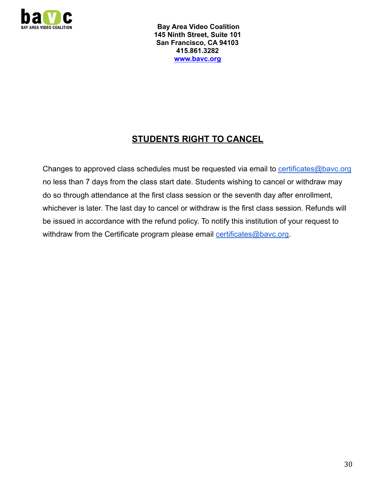

# **STUDENTS RIGHT TO CANCEL**

Changes to approved class schedules must be requested via email to [certificates@bavc.org](mailto:certificates@bavc.org) no less than 7 days from the class start date. Students wishing to cancel or withdraw may do so through attendance at the first class session or the seventh day after enrollment, whichever is later. The last day to cancel or withdraw is the first class session. Refunds will be issued in accordance with the refund policy. To notify this institution of your request to withdraw from the Certificate program please email [certificates@bavc.org](mailto:certificates@bavc.org).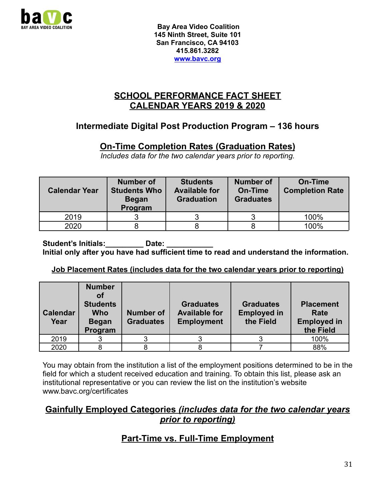

## **SCHOOL PERFORMANCE FACT SHEET CALENDAR YEARS 2019 & 2020**

## **Intermediate Digital Post Production Program – 136 hours**

## **On-Time Completion Rates (Graduation Rates)**

*Includes data for the two calendar years prior to reporting.*

| <b>Calendar Year</b> | <b>Number of</b><br><b>Students Who</b><br><b>Began</b><br>Program | <b>Students</b><br><b>Available for</b><br><b>Graduation</b> | <b>Number of</b><br>On-Time<br><b>Graduates</b> | On-Time<br><b>Completion Rate</b> |
|----------------------|--------------------------------------------------------------------|--------------------------------------------------------------|-------------------------------------------------|-----------------------------------|
| 2019                 |                                                                    |                                                              |                                                 | 100%                              |
| 2020                 |                                                                    |                                                              |                                                 | 100%                              |

Student's Initials: **Date:** Date: **Initial only after you have had sufficient time to read and understand the information.**

#### **Job Placement Rates (includes data for the two calendar years prior to reporting)**

| <b>Calendar</b><br>Year | <b>Number</b><br>оf<br><b>Students</b><br><b>Who</b><br><b>Began</b><br>Program | <b>Number of</b><br><b>Graduates</b> | <b>Graduates</b><br><b>Available for</b><br><b>Employment</b> | <b>Graduates</b><br><b>Employed in</b><br>the Field | <b>Placement</b><br>Rate<br><b>Employed in</b><br>the Field |
|-------------------------|---------------------------------------------------------------------------------|--------------------------------------|---------------------------------------------------------------|-----------------------------------------------------|-------------------------------------------------------------|
| 2019                    |                                                                                 |                                      |                                                               |                                                     | 100%                                                        |
| 2020                    |                                                                                 |                                      |                                                               |                                                     | 88%                                                         |

You may obtain from the institution a list of the employment positions determined to be in the field for which a student received education and training. To obtain this list, please ask an institutional representative or you can review the list on the institution's website www.bavc.org/certificates

### **Gainfully Employed Categories** *(includes data for the two calendar years prior to reporting)*

# **Part-Time vs. Full-Time Employment**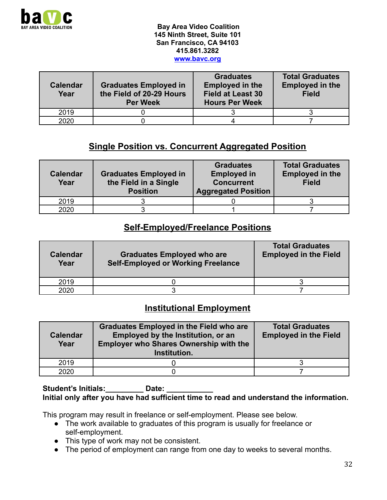

| <b>Calendar</b><br>Year | <b>Graduates Employed in</b><br>the Field of 20-29 Hours<br><b>Per Week</b> | <b>Graduates</b><br><b>Employed in the</b><br><b>Field at Least 30</b><br><b>Hours Per Week</b> | <b>Total Graduates</b><br><b>Employed in the</b><br><b>Field</b> |
|-------------------------|-----------------------------------------------------------------------------|-------------------------------------------------------------------------------------------------|------------------------------------------------------------------|
| 2019                    |                                                                             |                                                                                                 |                                                                  |
| 2020                    |                                                                             |                                                                                                 |                                                                  |

## **Single Position vs. Concurrent Aggregated Position**

| <b>Calendar</b><br>Year | <b>Graduates Employed in</b><br>the Field in a Single<br><b>Position</b> | <b>Graduates</b><br><b>Employed in</b><br><b>Concurrent</b><br><b>Aggregated Position</b> | <b>Total Graduates</b><br><b>Employed in the</b><br><b>Field</b> |
|-------------------------|--------------------------------------------------------------------------|-------------------------------------------------------------------------------------------|------------------------------------------------------------------|
| 2019                    |                                                                          |                                                                                           |                                                                  |
| 2020                    |                                                                          |                                                                                           |                                                                  |

#### **Self-Employed/Freelance Positions**

| <b>Calendar</b><br>Year | <b>Graduates Employed who are</b><br><b>Self-Employed or Working Freelance</b> | <b>Total Graduates</b><br><b>Employed in the Field</b> |
|-------------------------|--------------------------------------------------------------------------------|--------------------------------------------------------|
| 2019                    |                                                                                |                                                        |
| 2020                    |                                                                                |                                                        |

### **Institutional Employment**

| <b>Calendar</b><br>Year | <b>Graduates Employed in the Field who are</b><br>Employed by the Institution, or an<br><b>Employer who Shares Ownership with the</b><br>Institution. | <b>Total Graduates</b><br><b>Employed in the Field</b> |
|-------------------------|-------------------------------------------------------------------------------------------------------------------------------------------------------|--------------------------------------------------------|
| 2019                    |                                                                                                                                                       |                                                        |
| 2020                    |                                                                                                                                                       |                                                        |

#### Student's Initials: **Date: Initial only after you have had sufficient time to read and understand the information.**

This program may result in freelance or self-employment. Please see below.

- The work available to graduates of this program is usually for freelance or self-employment.
- This type of work may not be consistent.
- The period of employment can range from one day to weeks to several months.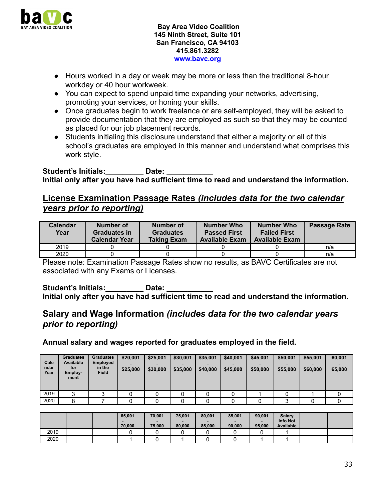

- Hours worked in a day or week may be more or less than the traditional 8-hour workday or 40 hour workweek.
- You can expect to spend unpaid time expanding your networks, advertising, promoting your services, or honing your skills.
- Once graduates begin to work freelance or are self-employed, they will be asked to provide documentation that they are employed as such so that they may be counted as placed for our job placement records.
- Students initialing this disclosure understand that either a majority or all of this school's graduates are employed in this manner and understand what comprises this work style.

Student's Initials: **Note:** Date: **Initial only after you have had sufficient time to read and understand the information.**

### **License Examination Passage Rates** *(includes data for the two calendar years prior to reporting)*

| Calendar<br>Year | Number of<br>Graduates in<br><b>Calendar Year</b> | Number of<br><b>Graduates</b><br>Taking Exam | <b>Number Who</b><br><b>Passed First</b><br><b>Available Exam</b> | Number Who<br><b>Failed First</b><br><b>Available Exam</b> | Passage Rate |
|------------------|---------------------------------------------------|----------------------------------------------|-------------------------------------------------------------------|------------------------------------------------------------|--------------|
| 2019             |                                                   |                                              |                                                                   |                                                            | n/a          |
| 2020             |                                                   |                                              |                                                                   |                                                            | n/a          |

Please note: Examination Passage Rates show no results, as BAVC Certificates are not associated with any Exams or Licenses.

Student's Initials: **Date:** Date: **Initial only after you have had sufficient time to read and understand the information.**

## **Salary and Wage Information** *(includes data for the two calendar years prior to reporting)*

**Annual salary and wages reported for graduates employed in the field.**

| Cale<br>ndar<br>Year | <b>Graduates</b><br><b>Available</b><br>for<br>Employ-<br>ment | <b>Graduates</b><br>Employed<br>in the<br><b>Field</b> | \$20,001<br>\$25,000 | \$25,001<br>\$30,000 | \$30,001<br>\$35,000 | \$35,001<br>\$40,000 | \$40,001<br>\$45,000 | \$45,001<br>\$50,000 | \$50,001<br>\$55,000 | \$55,001<br>\$60,000 | 60,001<br>65,000 |
|----------------------|----------------------------------------------------------------|--------------------------------------------------------|----------------------|----------------------|----------------------|----------------------|----------------------|----------------------|----------------------|----------------------|------------------|
| 2019                 | ີ                                                              | ົ                                                      |                      |                      |                      |                      |                      |                      |                      |                      |                  |
| 2020                 |                                                                |                                                        |                      |                      |                      |                      |                      |                      |                      |                      |                  |

|      |  | 65,001<br>70,000 | 70,001<br>75,000 | 75,001<br>80,000 | 80,001<br>85,000 | 85,001<br>90,000 | 90,001<br>95,000 | <b>Salary</b><br><b>Info Not</b><br>Available |  |
|------|--|------------------|------------------|------------------|------------------|------------------|------------------|-----------------------------------------------|--|
| 2019 |  |                  |                  |                  |                  |                  |                  |                                               |  |
| 2020 |  |                  |                  |                  |                  |                  |                  |                                               |  |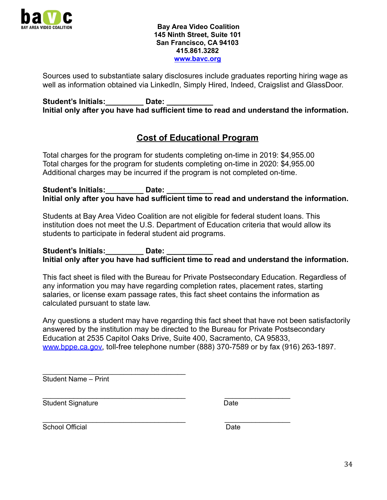

Sources used to substantiate salary disclosures include graduates reporting hiring wage as well as information obtained via LinkedIn, Simply Hired, Indeed, Craigslist and GlassDoor.

Student's Initials: **Date:** Date: **Initial only after you have had sufficient time to read and understand the information.**

## **Cost of Educational Program**

Total charges for the program for students completing on-time in 2019: \$4,955.00 Total charges for the program for students completing on-time in 2020: \$4,955.00 Additional charges may be incurred if the program is not completed on-time.

Student's Initials: **Date:** Date: **Initial only after you have had sufficient time to read and understand the information.**

Students at Bay Area Video Coalition are not eligible for federal student loans. This institution does not meet the U.S. Department of Education criteria that would allow its students to participate in federal student aid programs.

Student's Initials: **Date:** Date: **Initial only after you have had sufficient time to read and understand the information.**

This fact sheet is filed with the Bureau for Private Postsecondary Education. Regardless of any information you may have regarding completion rates, placement rates, starting salaries, or license exam passage rates, this fact sheet contains the information as calculated pursuant to state law.

Any questions a student may have regarding this fact sheet that have not been satisfactorily answered by the institution may be directed to the Bureau for Private Postsecondary Education at 2535 Capitol Oaks Drive, Suite 400, Sacramento, CA 95833, [www.bppe.ca.gov,](http://www.bppe.ca.gov) toll-free telephone number (888) 370-7589 or by fax (916) 263-1897.

 $\overline{\phantom{a}}$  , and the contract of the contract of the contract of the contract of the contract of the contract of the contract of the contract of the contract of the contract of the contract of the contract of the contrac Student Name – Print

\_\_\_\_\_\_\_\_\_\_\_\_\_\_\_\_\_\_\_\_\_\_\_\_\_\_\_\_\_\_\_\_\_\_\_\_\_ \_\_\_\_\_\_\_\_\_\_\_\_\_\_\_\_\_ Student Signature Date

\_\_\_\_\_\_\_\_\_\_\_\_\_\_\_\_\_\_\_\_\_\_\_\_\_\_\_\_\_\_\_\_\_\_\_\_\_ \_\_\_\_\_\_\_\_\_\_\_\_\_\_\_\_\_ School Official **Date**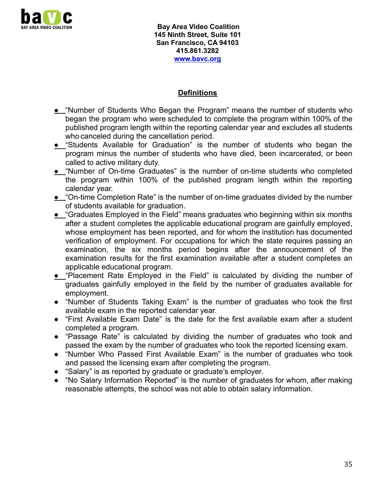

#### **Definitions**

- **●** "Number of Students Who Began the Program" means the number of students who began the program who were scheduled to complete the program within 100% of the published program length within the reporting calendar year and excludes all students who canceled during the cancellation period.
- **●** "Students Available for Graduation" is the number of students who began the program minus the number of students who have died, been incarcerated, or been called to active military duty.
- **●** "Number of On-time Graduates" is the number of on-time students who completed the program within 100% of the published program length within the reporting calendar year.
- **•** "On-time Completion Rate" is the number of on-time graduates divided by the number of students available for graduation.
- **●** "Graduates Employed in the Field" means graduates who beginning within six months after a student completes the applicable educational program are gainfully employed, whose employment has been reported, and for whom the institution has documented verification of employment. For occupations for which the state requires passing an examination, the six months period begins after the announcement of the examination results for the first examination available after a student completes an applicable educational program.
- **●** "Placement Rate Employed in the Field" is calculated by dividing the number of graduates gainfully employed in the field by the number of graduates available for employment.
- "Number of Students Taking Exam" is the number of graduates who took the first available exam in the reported calendar year.
- "First Available Exam Date" is the date for the first available exam after a student completed a program.
- "Passage Rate" is calculated by dividing the number of graduates who took and passed the exam by the number of graduates who took the reported licensing exam.
- "Number Who Passed First Available Exam" is the number of graduates who took and passed the licensing exam after completing the program.
- "Salary" is as reported by graduate or graduate's employer.
- "No Salary Information Reported" is the number of graduates for whom, after making reasonable attempts, the school was not able to obtain salary information.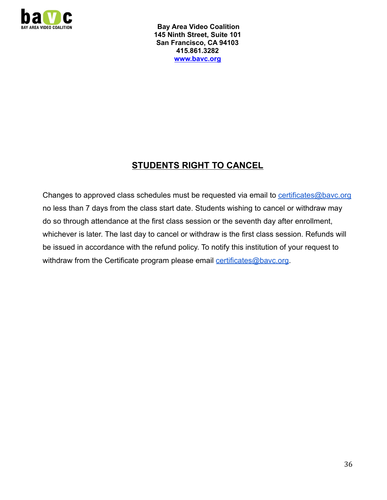

# **STUDENTS RIGHT TO CANCEL**

Changes to approved class schedules must be requested via email to [certificates@bavc.org](mailto:certificates@bavc.org) no less than 7 days from the class start date. Students wishing to cancel or withdraw may do so through attendance at the first class session or the seventh day after enrollment, whichever is later. The last day to cancel or withdraw is the first class session. Refunds will be issued in accordance with the refund policy. To notify this institution of your request to withdraw from the Certificate program please email [certificates@bavc.org](mailto:certificates@bavc.org).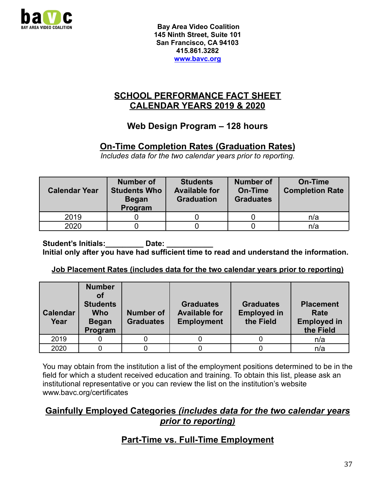

## **SCHOOL PERFORMANCE FACT SHEET CALENDAR YEARS 2019 & 2020**

## **Web Design Program – 128 hours**

## **On-Time Completion Rates (Graduation Rates)**

*Includes data for the two calendar years prior to reporting.*

| <b>Calendar Year</b> | Number of<br><b>Students Who</b><br><b>Began</b><br>Program | <b>Students</b><br><b>Available for</b><br><b>Graduation</b> | Number of<br>On-Time<br><b>Graduates</b> | On-Time<br><b>Completion Rate</b> |
|----------------------|-------------------------------------------------------------|--------------------------------------------------------------|------------------------------------------|-----------------------------------|
| 2019                 |                                                             |                                                              |                                          | n/a                               |
| 2020                 |                                                             |                                                              |                                          | n/a                               |

Student's Initials: **Date:** Date: **Initial only after you have had sufficient time to read and understand the information.**

#### **Job Placement Rates (includes data for the two calendar years prior to reporting)**

| <b>Calendar</b><br>Year | <b>Number</b><br>οf<br><b>Students</b><br><b>Who</b><br><b>Began</b><br>Program | Number of<br><b>Graduates</b> | <b>Graduates</b><br><b>Available for</b><br><b>Employment</b> | <b>Graduates</b><br><b>Employed in</b><br>the Field | <b>Placement</b><br>Rate<br><b>Employed in</b><br>the Field |
|-------------------------|---------------------------------------------------------------------------------|-------------------------------|---------------------------------------------------------------|-----------------------------------------------------|-------------------------------------------------------------|
| 2019                    |                                                                                 |                               |                                                               |                                                     | n/a                                                         |
| 2020                    |                                                                                 |                               |                                                               |                                                     | n/a                                                         |

You may obtain from the institution a list of the employment positions determined to be in the field for which a student received education and training. To obtain this list, please ask an institutional representative or you can review the list on the institution's website www.bavc.org/certificates

#### **Gainfully Employed Categories** *(includes data for the two calendar years prior to reporting)*

## **Part-Time vs. Full-Time Employment**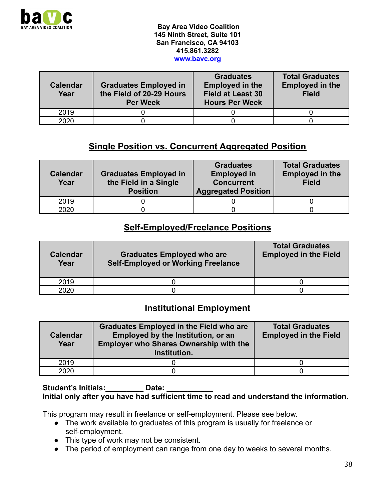

| <b>Calendar</b><br>Year | <b>Graduates Employed in</b><br>the Field of 20-29 Hours<br><b>Per Week</b> | <b>Graduates</b><br><b>Employed in the</b><br><b>Field at Least 30</b><br><b>Hours Per Week</b> | <b>Total Graduates</b><br><b>Employed in the</b><br><b>Field</b> |
|-------------------------|-----------------------------------------------------------------------------|-------------------------------------------------------------------------------------------------|------------------------------------------------------------------|
| 2019                    |                                                                             |                                                                                                 |                                                                  |
| 2020                    |                                                                             |                                                                                                 |                                                                  |

## **Single Position vs. Concurrent Aggregated Position**

| <b>Calendar</b><br>Year | <b>Graduates Employed in</b><br>the Field in a Single<br><b>Position</b> | <b>Graduates</b><br><b>Employed in</b><br><b>Concurrent</b><br><b>Aggregated Position</b> | <b>Total Graduates</b><br><b>Employed in the</b><br><b>Field</b> |
|-------------------------|--------------------------------------------------------------------------|-------------------------------------------------------------------------------------------|------------------------------------------------------------------|
| 2019                    |                                                                          |                                                                                           |                                                                  |
| 2020                    |                                                                          |                                                                                           |                                                                  |

#### **Self-Employed/Freelance Positions**

| <b>Calendar</b><br>Year | <b>Graduates Employed who are</b><br><b>Self-Employed or Working Freelance</b> | <b>Total Graduates</b><br><b>Employed in the Field</b> |
|-------------------------|--------------------------------------------------------------------------------|--------------------------------------------------------|
| 2019                    |                                                                                |                                                        |
| 2020                    |                                                                                |                                                        |

### **Institutional Employment**

| <b>Calendar</b><br>Year | <b>Graduates Employed in the Field who are</b><br>Employed by the Institution, or an<br><b>Employer who Shares Ownership with the</b><br>Institution. | <b>Total Graduates</b><br><b>Employed in the Field</b> |
|-------------------------|-------------------------------------------------------------------------------------------------------------------------------------------------------|--------------------------------------------------------|
| 2019                    |                                                                                                                                                       |                                                        |
| 2020                    |                                                                                                                                                       |                                                        |

#### Student's Initials: **Date:** Date: **Initial only after you have had sufficient time to read and understand the information.**

This program may result in freelance or self-employment. Please see below.

- The work available to graduates of this program is usually for freelance or self-employment.
- This type of work may not be consistent.
- The period of employment can range from one day to weeks to several months.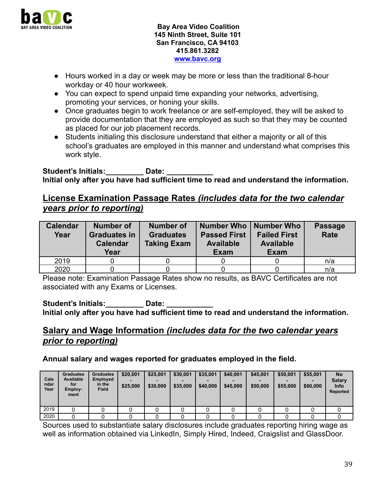

- Hours worked in a day or week may be more or less than the traditional 8-hour workday or 40 hour workweek.
- You can expect to spend unpaid time expanding your networks, advertising, promoting your services, or honing your skills.
- Once graduates begin to work freelance or are self-employed, they will be asked to provide documentation that they are employed as such so that they may be counted as placed for our job placement records.
- Students initialing this disclosure understand that either a majority or all of this school's graduates are employed in this manner and understand what comprises this work style.

Student's Initials: **Note:** Date: **Initial only after you have had sufficient time to read and understand the information.**

#### **License Examination Passage Rates** *(includes data for the two calendar years prior to reporting)*

| <b>Calendar</b><br>Year | <b>Number of</b><br><b>Graduates in</b><br><b>Calendar</b><br>Year | Number of<br><b>Graduates</b><br><b>Taking Exam</b> | Number Who   Number Who<br><b>Passed First</b><br><b>Available</b><br><b>Exam</b> | <b>Failed First</b><br><b>Available</b><br><b>Exam</b> | <b>Passage</b><br><b>Rate</b> |
|-------------------------|--------------------------------------------------------------------|-----------------------------------------------------|-----------------------------------------------------------------------------------|--------------------------------------------------------|-------------------------------|
| 2019                    |                                                                    |                                                     |                                                                                   |                                                        | n/a                           |
| 2020                    |                                                                    |                                                     |                                                                                   |                                                        | n/a                           |

Please note: Examination Passage Rates show no results, as BAVC Certificates are not associated with any Exams or Licenses.

Student's Initials: **Date:** Date: **Initial only after you have had sufficient time to read and understand the information.**

### **Salary and Wage Information** *(includes data for the two calendar years prior to reporting)*

**Annual salary and wages reported for graduates employed in the field.**

| Cale<br>ndar<br>Year | <b>Graduates</b><br><b>Available</b><br>for<br>Employ-<br>ment | <b>Graduates</b><br><b>Employed</b><br>in the<br><b>Field</b> | \$20,001<br>\$25,000 | \$25,001<br>\$30,000 | \$30,001<br>\$35,000 | \$35,001<br>\$40,000 | \$40,001<br>\$45,000 | \$45,001<br>\$50,000 | \$50,001<br>\$55,000 | \$55,001<br>\$60,000 | <b>No</b><br><b>Salary</b><br><b>Info</b><br>Reported |
|----------------------|----------------------------------------------------------------|---------------------------------------------------------------|----------------------|----------------------|----------------------|----------------------|----------------------|----------------------|----------------------|----------------------|-------------------------------------------------------|
| 2019                 |                                                                |                                                               |                      |                      |                      |                      |                      |                      |                      |                      |                                                       |
| 2020                 |                                                                |                                                               |                      |                      |                      |                      |                      |                      |                      |                      |                                                       |

Sources used to substantiate salary disclosures include graduates reporting hiring wage as well as information obtained via LinkedIn, Simply Hired, Indeed, Craigslist and GlassDoor.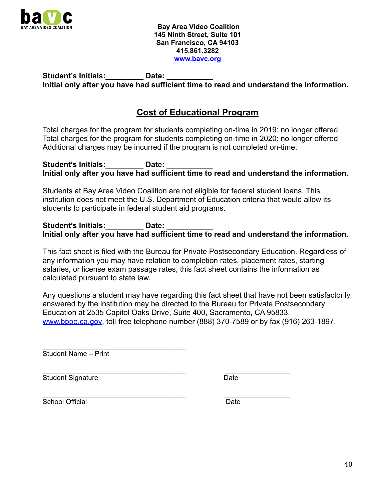

Student's Initials: **Date:** Date: **Initial only after you have had sufficient time to read and understand the information.**

## **Cost of Educational Program**

Total charges for the program for students completing on-time in 2019: no longer offered Total charges for the program for students completing on-time in 2020: no longer offered Additional charges may be incurred if the program is not completed on-time.

Student's Initials: **Date:** Date: **Initial only after you have had sufficient time to read and understand the information.**

Students at Bay Area Video Coalition are not eligible for federal student loans. This institution does not meet the U.S. Department of Education criteria that would allow its students to participate in federal student aid programs.

Student's Initials: **Date:** Date: **Initial only after you have had sufficient time to read and understand the information.**

This fact sheet is filed with the Bureau for Private Postsecondary Education. Regardless of any information you may have relation to completion rates, placement rates, starting salaries, or license exam passage rates, this fact sheet contains the information as calculated pursuant to state law.

Any questions a student may have regarding this fact sheet that have not been satisfactorily answered by the institution may be directed to the Bureau for Private Postsecondary Education at 2535 Capitol Oaks Drive, Suite 400, Sacramento, CA 95833, [www.bppe.ca.gov,](http://www.bppe.ca.gov) toll-free telephone number (888) 370-7589 or by fax (916) 263-1897.

 $\overline{\phantom{a}}$  , and the set of the set of the set of the set of the set of the set of the set of the set of the set of the set of the set of the set of the set of the set of the set of the set of the set of the set of the s Student Name – Print

Student Signature Date Date

\_\_\_\_\_\_\_\_\_\_\_\_\_\_\_\_\_\_\_\_\_\_\_\_\_\_\_\_\_\_\_\_\_\_\_\_\_ \_\_\_\_\_\_\_\_\_\_\_\_\_\_\_\_\_

\_\_\_\_\_\_\_\_\_\_\_\_\_\_\_\_\_\_\_\_\_\_\_\_\_\_\_\_\_\_\_\_\_\_\_\_\_ \_\_\_\_\_\_\_\_\_\_\_\_\_\_\_\_\_ School Official **Date** Date **Date**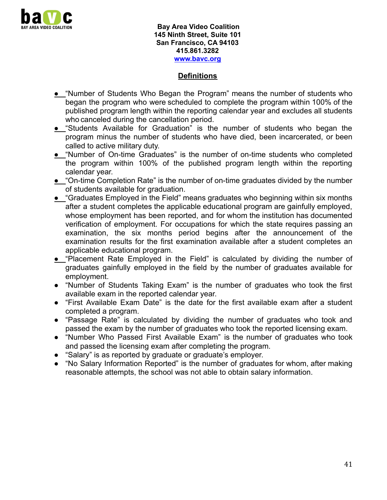

#### **Definitions**

- **●** "Number of Students Who Began the Program" means the number of students who began the program who were scheduled to complete the program within 100% of the published program length within the reporting calendar year and excludes all students who canceled during the cancellation period.
- **•** "Students Available for Graduation" is the number of students who began the program minus the number of students who have died, been incarcerated, or been called to active military duty.
- **●** "Number of On-time Graduates" is the number of on-time students who completed the program within 100% of the published program length within the reporting calendar year.
- **●** "On-time Completion Rate" is the number of on-time graduates divided by the number of students available for graduation.
- **●** "Graduates Employed in the Field" means graduates who beginning within six months after a student completes the applicable educational program are gainfully employed, whose employment has been reported, and for whom the institution has documented verification of employment. For occupations for which the state requires passing an examination, the six months period begins after the announcement of the examination results for the first examination available after a student completes an applicable educational program.
- **●** "Placement Rate Employed in the Field" is calculated by dividing the number of graduates gainfully employed in the field by the number of graduates available for employment.
- "Number of Students Taking Exam" is the number of graduates who took the first available exam in the reported calendar year.
- "First Available Exam Date" is the date for the first available exam after a student completed a program.
- "Passage Rate" is calculated by dividing the number of graduates who took and passed the exam by the number of graduates who took the reported licensing exam.
- "Number Who Passed First Available Exam" is the number of graduates who took and passed the licensing exam after completing the program.
- "Salary" is as reported by graduate or graduate's employer.
- "No Salary Information Reported" is the number of graduates for whom, after making reasonable attempts, the school was not able to obtain salary information.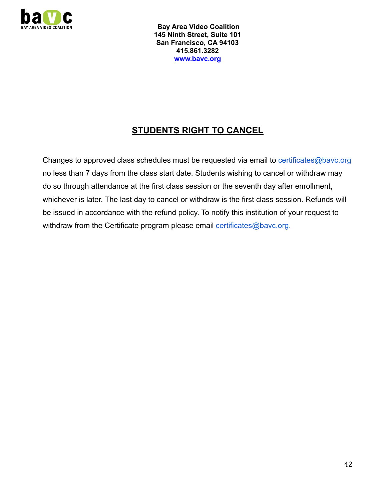

# **STUDENTS RIGHT TO CANCEL**

Changes to approved class schedules must be requested via email to [certificates@bavc.org](mailto:certificates@bavc.org) no less than 7 days from the class start date. Students wishing to cancel or withdraw may do so through attendance at the first class session or the seventh day after enrollment, whichever is later. The last day to cancel or withdraw is the first class session. Refunds will be issued in accordance with the refund policy. To notify this institution of your request to withdraw from the Certificate program please email [certificates@bavc.org](mailto:certificates@bavc.org).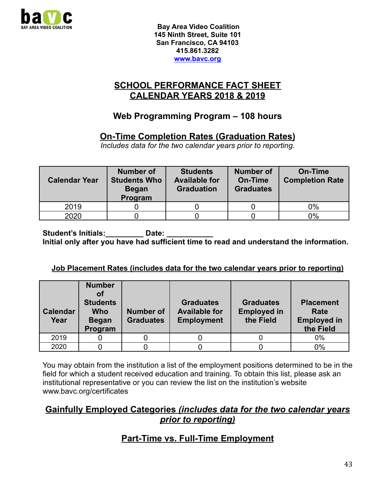

### **SCHOOL PERFORMANCE FACT SHEET CALENDAR YEARS 2018 & 2019**

## **Web Programming Program – 108 hours**

## **On-Time Completion Rates (Graduation Rates)**

*Includes data for the two calendar years prior to reporting.*

| <b>Calendar Year</b> | <b>Number of</b><br><b>Students Who</b><br><b>Began</b><br>Program | <b>Students</b><br><b>Available for</b><br><b>Graduation</b> | <b>Number of</b><br><b>On-Time</b><br><b>Graduates</b> | <b>On-Time</b><br><b>Completion Rate</b> |
|----------------------|--------------------------------------------------------------------|--------------------------------------------------------------|--------------------------------------------------------|------------------------------------------|
| 2019                 |                                                                    |                                                              |                                                        | 0%                                       |
| 2020                 |                                                                    |                                                              |                                                        | 0%                                       |

Student's Initials: **Date:** Date: **Initial only after you have had sufficient time to read and understand the information.**

#### **Job Placement Rates (includes data for the two calendar years prior to reporting)**

| <b>Calendar</b><br>Year | <b>Number</b><br>οf<br><b>Students</b><br><b>Who</b><br><b>Began</b><br>Program | Number of<br><b>Graduates</b> | <b>Graduates</b><br><b>Available for</b><br><b>Employment</b> | <b>Graduates</b><br><b>Employed in</b><br>the Field | <b>Placement</b><br>Rate<br><b>Employed in</b><br>the Field |
|-------------------------|---------------------------------------------------------------------------------|-------------------------------|---------------------------------------------------------------|-----------------------------------------------------|-------------------------------------------------------------|
| 2019                    |                                                                                 |                               |                                                               |                                                     | 0%                                                          |
| 2020                    |                                                                                 |                               |                                                               |                                                     | 0%                                                          |

You may obtain from the institution a list of the employment positions determined to be in the field for which a student received education and training. To obtain this list, please ask an institutional representative or you can review the list on the institution's website www.bavc.org/certificates

### **Gainfully Employed Categories** *(includes data for the two calendar years prior to reporting)*

# **Part-Time vs. Full-Time Employment**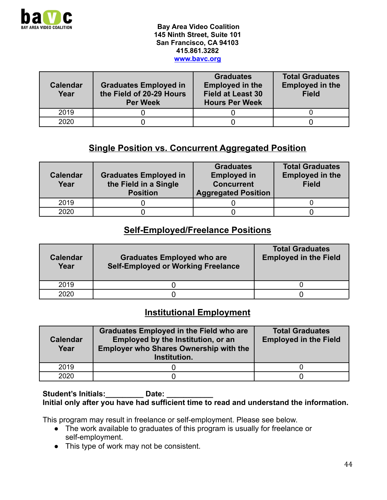

| <b>Calendar</b><br>Year | <b>Graduates Employed in</b><br>the Field of 20-29 Hours<br><b>Per Week</b> | <b>Graduates</b><br><b>Employed in the</b><br><b>Field at Least 30</b><br><b>Hours Per Week</b> | <b>Total Graduates</b><br><b>Employed in the</b><br><b>Field</b> |  |  |
|-------------------------|-----------------------------------------------------------------------------|-------------------------------------------------------------------------------------------------|------------------------------------------------------------------|--|--|
| 2019                    |                                                                             |                                                                                                 |                                                                  |  |  |
| 2020                    |                                                                             |                                                                                                 |                                                                  |  |  |

## **Single Position vs. Concurrent Aggregated Position**

| <b>Calendar</b><br>Year | <b>Graduates Employed in</b><br>the Field in a Single<br><b>Position</b> | <b>Graduates</b><br><b>Employed in</b><br><b>Concurrent</b><br><b>Aggregated Position</b> | <b>Total Graduates</b><br><b>Employed in the</b><br><b>Field</b> |
|-------------------------|--------------------------------------------------------------------------|-------------------------------------------------------------------------------------------|------------------------------------------------------------------|
| 2019                    |                                                                          |                                                                                           |                                                                  |
| 2020                    |                                                                          |                                                                                           |                                                                  |

#### **Self-Employed/Freelance Positions**

| <b>Calendar</b><br>Year | <b>Graduates Employed who are</b><br><b>Self-Employed or Working Freelance</b> | <b>Total Graduates</b><br><b>Employed in the Field</b> |
|-------------------------|--------------------------------------------------------------------------------|--------------------------------------------------------|
| 2019                    |                                                                                |                                                        |
| 2020                    |                                                                                |                                                        |

#### **Institutional Employment**

| <b>Calendar</b><br>Year | <b>Graduates Employed in the Field who are</b><br>Employed by the Institution, or an<br><b>Employer who Shares Ownership with the</b><br>Institution. | <b>Total Graduates</b><br><b>Employed in the Field</b> |  |  |
|-------------------------|-------------------------------------------------------------------------------------------------------------------------------------------------------|--------------------------------------------------------|--|--|
| 2019                    |                                                                                                                                                       |                                                        |  |  |
| 2020                    |                                                                                                                                                       |                                                        |  |  |

#### Student's Initials: Date: **Initial only after you have had sufficient time to read and understand the information.**

This program may result in freelance or self-employment. Please see below.

- The work available to graduates of this program is usually for freelance or self-employment.
- This type of work may not be consistent.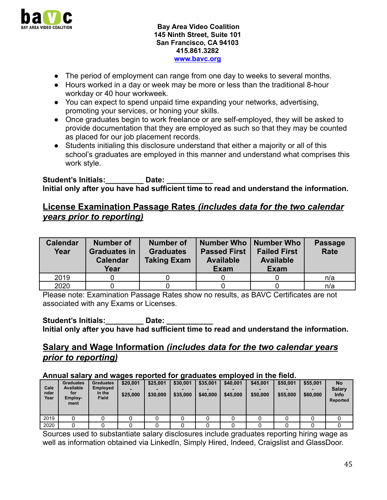

- The period of employment can range from one day to weeks to several months.
- Hours worked in a day or week may be more or less than the traditional 8-hour workday or 40 hour workweek.
- You can expect to spend unpaid time expanding your networks, advertising, promoting your services, or honing your skills.
- Once graduates begin to work freelance or are self-employed, they will be asked to provide documentation that they are employed as such so that they may be counted as placed for our job placement records.
- Students initialing this disclosure understand that either a majority or all of this school's graduates are employed in this manner and understand what comprises this work style.

Student's Initials: **Date:** Date: **Initial only after you have had sufficient time to read and understand the information.**

#### **License Examination Passage Rates** *(includes data for the two calendar years prior to reporting)*

| <b>Calendar</b><br>Year | Number of<br><b>Graduates in</b><br><b>Calendar</b><br>Year | <b>Number of</b><br><b>Graduates</b><br><b>Taking Exam</b> | Number Who   Number Who<br><b>Passed First</b><br><b>Available</b><br><b>Exam</b> | <b>Failed First</b><br><b>Available</b><br><b>Exam</b> | <b>Passage</b><br><b>Rate</b> |
|-------------------------|-------------------------------------------------------------|------------------------------------------------------------|-----------------------------------------------------------------------------------|--------------------------------------------------------|-------------------------------|
| 2019                    |                                                             |                                                            |                                                                                   |                                                        | n/a                           |
| 2020                    |                                                             |                                                            |                                                                                   |                                                        | n/a                           |

Please note: Examination Passage Rates show no results, as BAVC Certificates are not associated with any Exams or Licenses.

Student's Initials: **Date:** Date: **Initial only after you have had sufficient time to read and understand the information.**

#### **Salary and Wage Information** *(includes data for the two calendar years prior to reporting)*

#### **Annual salary and wages reported for graduates employed in the field.**

| Cale<br>ndar<br>Year | <b>Graduates</b><br><b>Available</b><br>for<br>Employ-<br>ment | <b>Graduates</b><br><b>Employed</b><br>in the<br><b>Field</b> | \$20,001<br>\$25,000 | \$25,001<br>\$30,000 | \$30,001<br>\$35,000 | \$35,001<br>\$40,000 | \$40,001<br>\$45,000 | \$45,001<br>\$50,000 | \$50,001<br>\$55,000 | \$55,001<br>\$60,000 | <b>No</b><br><b>Salary</b><br><b>Info</b><br><b>Reported</b> |
|----------------------|----------------------------------------------------------------|---------------------------------------------------------------|----------------------|----------------------|----------------------|----------------------|----------------------|----------------------|----------------------|----------------------|--------------------------------------------------------------|
| 2019                 |                                                                |                                                               |                      |                      |                      |                      |                      |                      |                      |                      |                                                              |
| 2020                 |                                                                |                                                               |                      |                      |                      |                      |                      |                      |                      |                      |                                                              |

Sources used to substantiate salary disclosures include graduates reporting hiring wage as well as information obtained via LinkedIn, Simply Hired, Indeed, Craigslist and GlassDoor.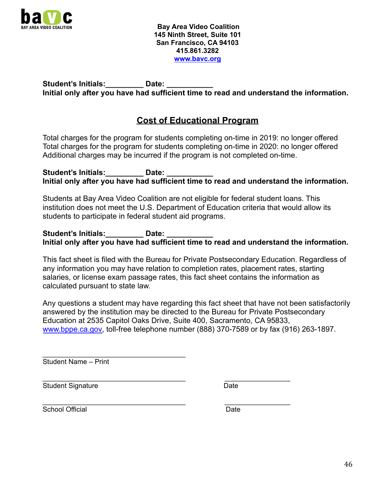

Student's Initials: **Date:** Date: **Initial only after you have had sufficient time to read and understand the information.**

## **Cost of Educational Program**

Total charges for the program for students completing on-time in 2019: no longer offered Total charges for the program for students completing on-time in 2020: no longer offered Additional charges may be incurred if the program is not completed on-time.

Student's Initials: **Date:** Date: **Initial only after you have had sufficient time to read and understand the information.**

Students at Bay Area Video Coalition are not eligible for federal student loans. This institution does not meet the U.S. Department of Education criteria that would allow its students to participate in federal student aid programs.

Student's Initials: **Date:** Date: **Initial only after you have had sufficient time to read and understand the information.**

This fact sheet is filed with the Bureau for Private Postsecondary Education. Regardless of any information you may have relation to completion rates, placement rates, starting salaries, or license exam passage rates, this fact sheet contains the information as calculated pursuant to state law.

Any questions a student may have regarding this fact sheet that have not been satisfactorily answered by the institution may be directed to the Bureau for Private Postsecondary Education at 2535 Capitol Oaks Drive, Suite 400, Sacramento, CA 95833, [www.bppe.ca.gov,](http://www.bppe.ca.gov) toll-free telephone number (888) 370-7589 or by fax (916) 263-1897.

Student Name – Print

 $\overline{\phantom{a}}$  , and the set of the set of the set of the set of the set of the set of the set of the set of the set of the set of the set of the set of the set of the set of the set of the set of the set of the set of the s

\_\_\_\_\_\_\_\_\_\_\_\_\_\_\_\_\_\_\_\_\_\_\_\_\_\_\_\_\_\_\_\_\_\_\_\_\_ \_\_\_\_\_\_\_\_\_\_\_\_\_\_\_\_\_ Student Signature Date Date

\_\_\_\_\_\_\_\_\_\_\_\_\_\_\_\_\_\_\_\_\_\_\_\_\_\_\_\_\_\_\_\_\_\_\_\_\_ \_\_\_\_\_\_\_\_\_\_\_\_\_\_\_\_\_ School Official **Date** Date **Date**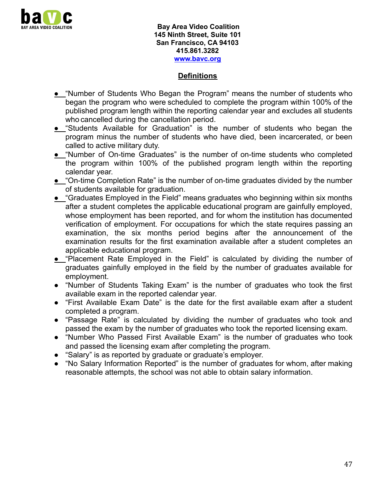

#### **Definitions**

- **●** "Number of Students Who Began the Program" means the number of students who began the program who were scheduled to complete the program within 100% of the published program length within the reporting calendar year and excludes all students who cancelled during the cancellation period.
- **●** "Students Available for Graduation" is the number of students who began the program minus the number of students who have died, been incarcerated, or been called to active military duty.
- **●** "Number of On-time Graduates" is the number of on-time students who completed the program within 100% of the published program length within the reporting calendar year.
- **●** "On-time Completion Rate" is the number of on-time graduates divided by the number of students available for graduation.
- **●** "Graduates Employed in the Field" means graduates who beginning within six months after a student completes the applicable educational program are gainfully employed, whose employment has been reported, and for whom the institution has documented verification of employment. For occupations for which the state requires passing an examination, the six months period begins after the announcement of the examination results for the first examination available after a student completes an applicable educational program.
- **●** "Placement Rate Employed in the Field" is calculated by dividing the number of graduates gainfully employed in the field by the number of graduates available for employment.
- "Number of Students Taking Exam" is the number of graduates who took the first available exam in the reported calendar year.
- "First Available Exam Date" is the date for the first available exam after a student completed a program.
- "Passage Rate" is calculated by dividing the number of graduates who took and passed the exam by the number of graduates who took the reported licensing exam.
- "Number Who Passed First Available Exam" is the number of graduates who took and passed the licensing exam after completing the program.
- "Salary" is as reported by graduate or graduate's employer.
- "No Salary Information Reported" is the number of graduates for whom, after making reasonable attempts, the school was not able to obtain salary information.